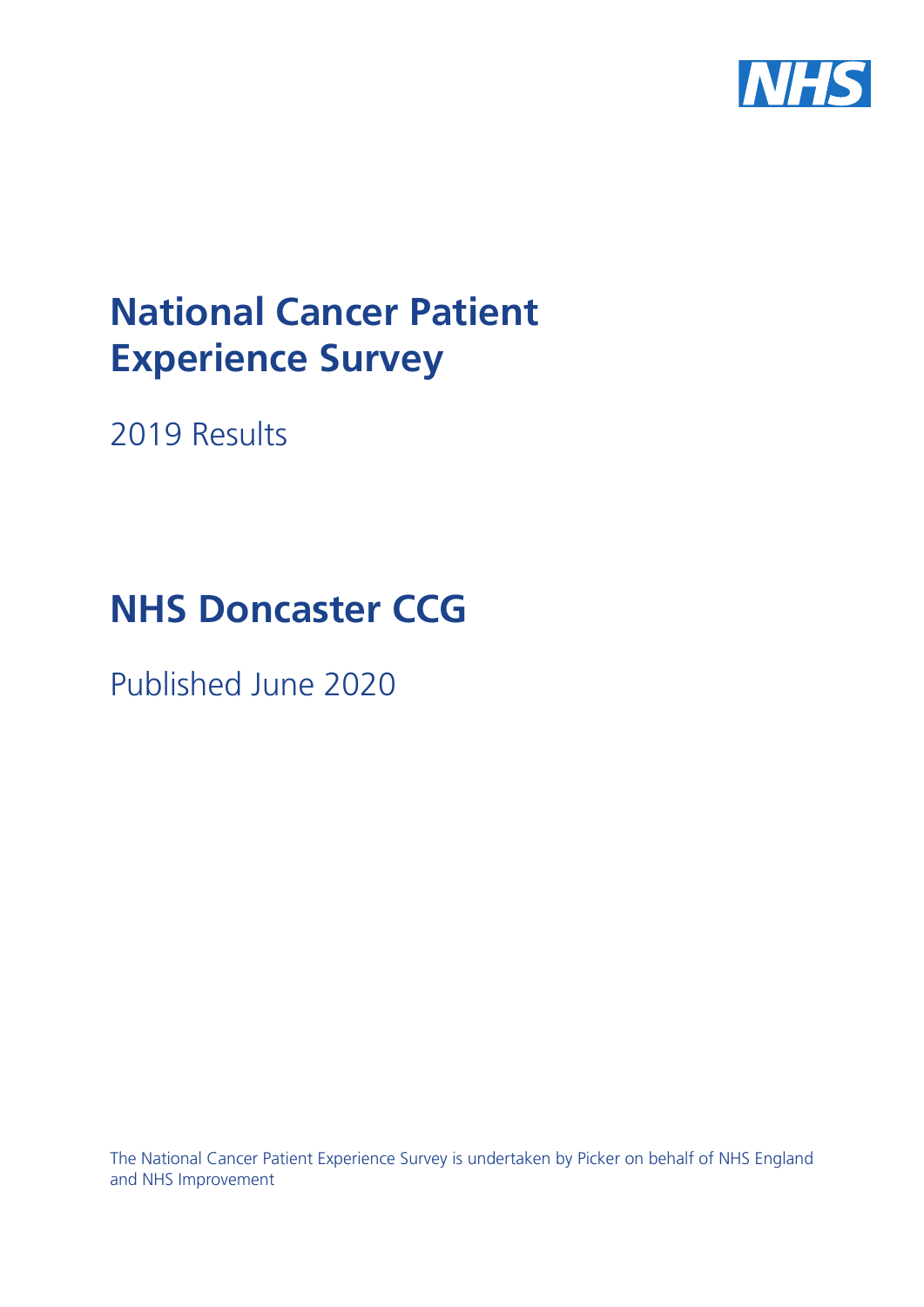

# **National Cancer Patient Experience Survey**

2019 Results

# **NHS Doncaster CCG**

Published June 2020

The National Cancer Patient Experience Survey is undertaken by Picker on behalf of NHS England and NHS Improvement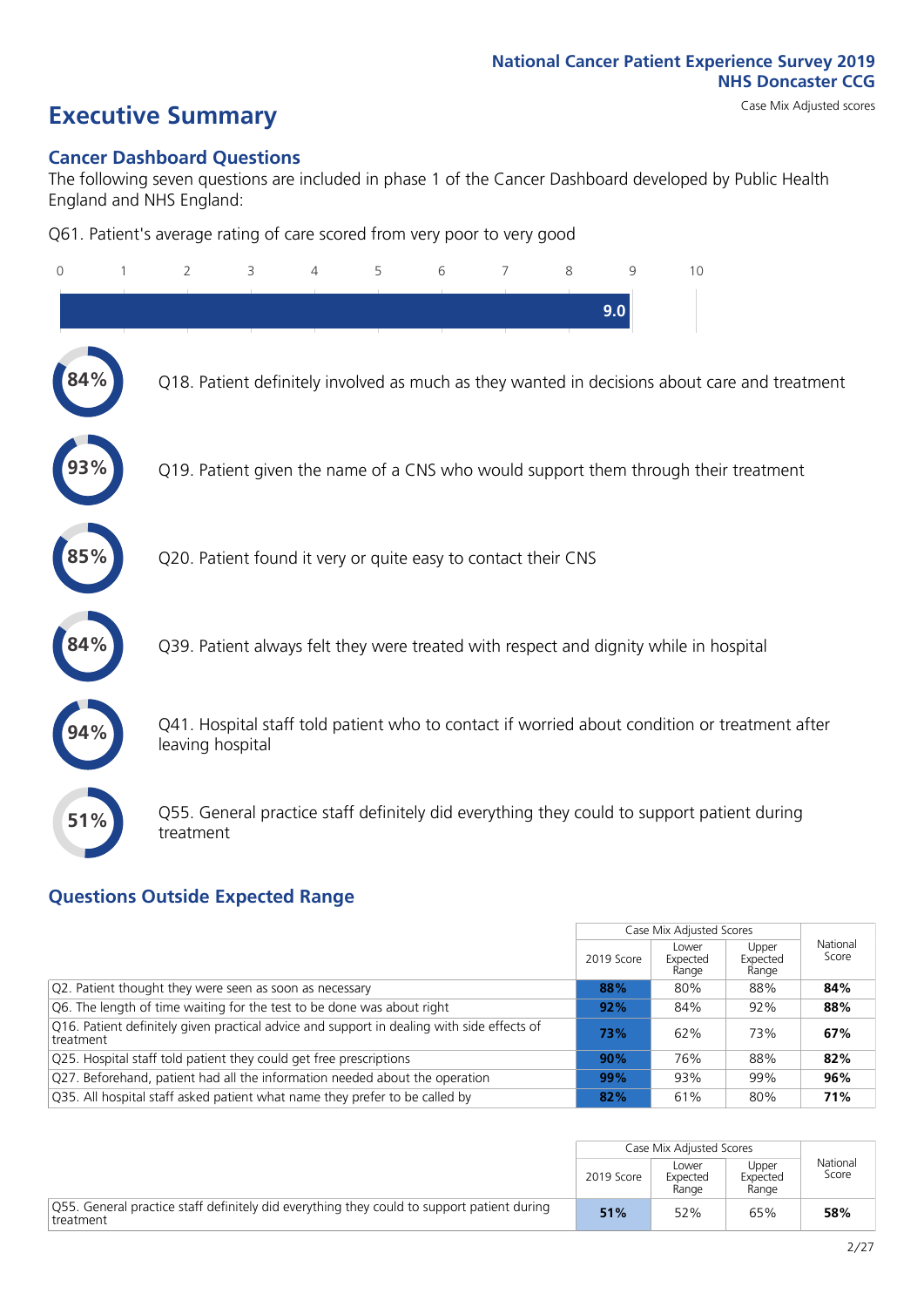# **Executive Summary** Case Mix Adjusted scores

### **Cancer Dashboard Questions**

The following seven questions are included in phase 1 of the Cancer Dashboard developed by Public Health England and NHS England:

Q61. Patient's average rating of care scored from very poor to very good

| $\Omega$ | $\overline{2}$                                                | 3 | 5 | 6 | 7 | 8 | 9   | 10                                                                                            |
|----------|---------------------------------------------------------------|---|---|---|---|---|-----|-----------------------------------------------------------------------------------------------|
|          |                                                               |   |   |   |   |   | 9.0 |                                                                                               |
|          |                                                               |   |   |   |   |   |     | Q18. Patient definitely involved as much as they wanted in decisions about care and treatment |
|          |                                                               |   |   |   |   |   |     | Q19. Patient given the name of a CNS who would support them through their treatment           |
| 85%      | Q20. Patient found it very or quite easy to contact their CNS |   |   |   |   |   |     |                                                                                               |
| 84%      |                                                               |   |   |   |   |   |     | Q39. Patient always felt they were treated with respect and dignity while in hospital         |
|          | leaving hospital                                              |   |   |   |   |   |     | Q41. Hospital staff told patient who to contact if worried about condition or treatment after |
| 51%      | treatment                                                     |   |   |   |   |   |     | Q55. General practice staff definitely did everything they could to support patient during    |

### **Questions Outside Expected Range**

|                                                                                                         |            | Case Mix Adjusted Scores   |                            |                   |
|---------------------------------------------------------------------------------------------------------|------------|----------------------------|----------------------------|-------------------|
|                                                                                                         | 2019 Score | Lower<br>Expected<br>Range | Upper<br>Expected<br>Range | National<br>Score |
| Q2. Patient thought they were seen as soon as necessary                                                 | 88%        | 80%                        | 88%                        | 84%               |
| Q6. The length of time waiting for the test to be done was about right                                  | 92%        | 84%                        | 92%                        | 88%               |
| Q16. Patient definitely given practical advice and support in dealing with side effects of<br>treatment | 73%        | 62%                        | 73%                        | 67%               |
| Q25. Hospital staff told patient they could get free prescriptions                                      | 90%        | 76%                        | 88%                        | 82%               |
| Q27. Beforehand, patient had all the information needed about the operation                             | 99%        | 93%                        | 99%                        | 96%               |
| Q35. All hospital staff asked patient what name they prefer to be called by                             | 82%        | 61%                        | 80%                        | 71%               |

|                                                                                                         |            | Case Mix Adjusted Scores   |                            |                   |
|---------------------------------------------------------------------------------------------------------|------------|----------------------------|----------------------------|-------------------|
|                                                                                                         | 2019 Score | Lower<br>Expected<br>Range | Upper<br>Expected<br>Range | National<br>Score |
| 055. General practice staff definitely did everything they could to support patient during<br>treatment | 51%        | 52%                        | 65%                        | 58%               |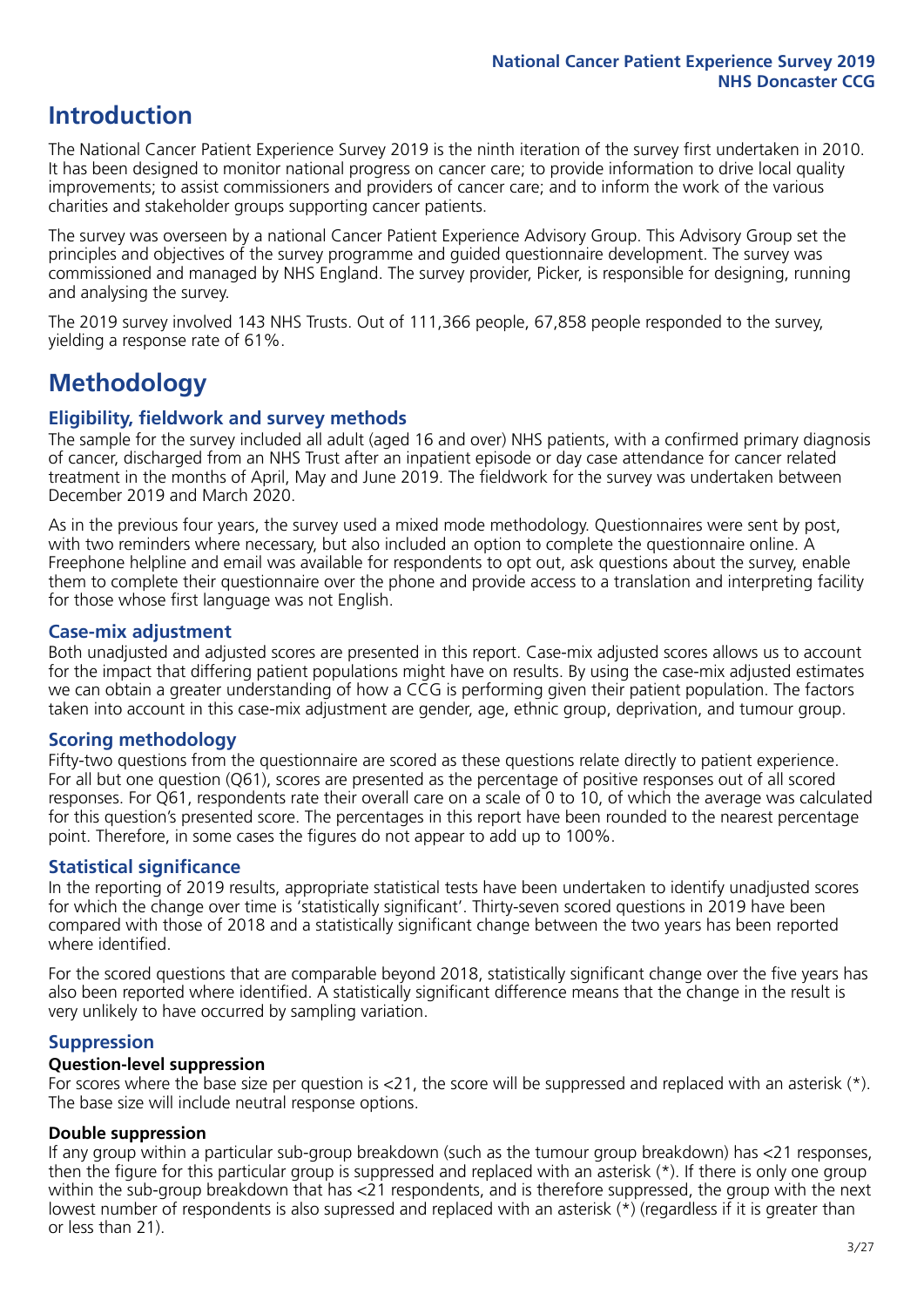## **Introduction**

The National Cancer Patient Experience Survey 2019 is the ninth iteration of the survey first undertaken in 2010. It has been designed to monitor national progress on cancer care; to provide information to drive local quality improvements; to assist commissioners and providers of cancer care; and to inform the work of the various charities and stakeholder groups supporting cancer patients.

The survey was overseen by a national Cancer Patient Experience Advisory Group. This Advisory Group set the principles and objectives of the survey programme and guided questionnaire development. The survey was commissioned and managed by NHS England. The survey provider, Picker, is responsible for designing, running and analysing the survey.

The 2019 survey involved 143 NHS Trusts. Out of 111,366 people, 67,858 people responded to the survey, yielding a response rate of 61%.

# **Methodology**

### **Eligibility, eldwork and survey methods**

The sample for the survey included all adult (aged 16 and over) NHS patients, with a confirmed primary diagnosis of cancer, discharged from an NHS Trust after an inpatient episode or day case attendance for cancer related treatment in the months of April, May and June 2019. The fieldwork for the survey was undertaken between December 2019 and March 2020.

As in the previous four years, the survey used a mixed mode methodology. Questionnaires were sent by post, with two reminders where necessary, but also included an option to complete the questionnaire online. A Freephone helpline and email was available for respondents to opt out, ask questions about the survey, enable them to complete their questionnaire over the phone and provide access to a translation and interpreting facility for those whose first language was not English.

### **Case-mix adjustment**

Both unadjusted and adjusted scores are presented in this report. Case-mix adjusted scores allows us to account for the impact that differing patient populations might have on results. By using the case-mix adjusted estimates we can obtain a greater understanding of how a CCG is performing given their patient population. The factors taken into account in this case-mix adjustment are gender, age, ethnic group, deprivation, and tumour group.

### **Scoring methodology**

Fifty-two questions from the questionnaire are scored as these questions relate directly to patient experience. For all but one question (Q61), scores are presented as the percentage of positive responses out of all scored responses. For Q61, respondents rate their overall care on a scale of 0 to 10, of which the average was calculated for this question's presented score. The percentages in this report have been rounded to the nearest percentage point. Therefore, in some cases the figures do not appear to add up to 100%.

### **Statistical significance**

In the reporting of 2019 results, appropriate statistical tests have been undertaken to identify unadjusted scores for which the change over time is 'statistically significant'. Thirty-seven scored questions in 2019 have been compared with those of 2018 and a statistically significant change between the two years has been reported where identified.

For the scored questions that are comparable beyond 2018, statistically significant change over the five years has also been reported where identified. A statistically significant difference means that the change in the result is very unlikely to have occurred by sampling variation.

### **Suppression**

### **Question-level suppression**

For scores where the base size per question is  $<$ 21, the score will be suppressed and replaced with an asterisk (\*). The base size will include neutral response options.

### **Double suppression**

If any group within a particular sub-group breakdown (such as the tumour group breakdown) has <21 responses, then the figure for this particular group is suppressed and replaced with an asterisk (\*). If there is only one group within the sub-group breakdown that has <21 respondents, and is therefore suppressed, the group with the next lowest number of respondents is also supressed and replaced with an asterisk (\*) (regardless if it is greater than or less than 21).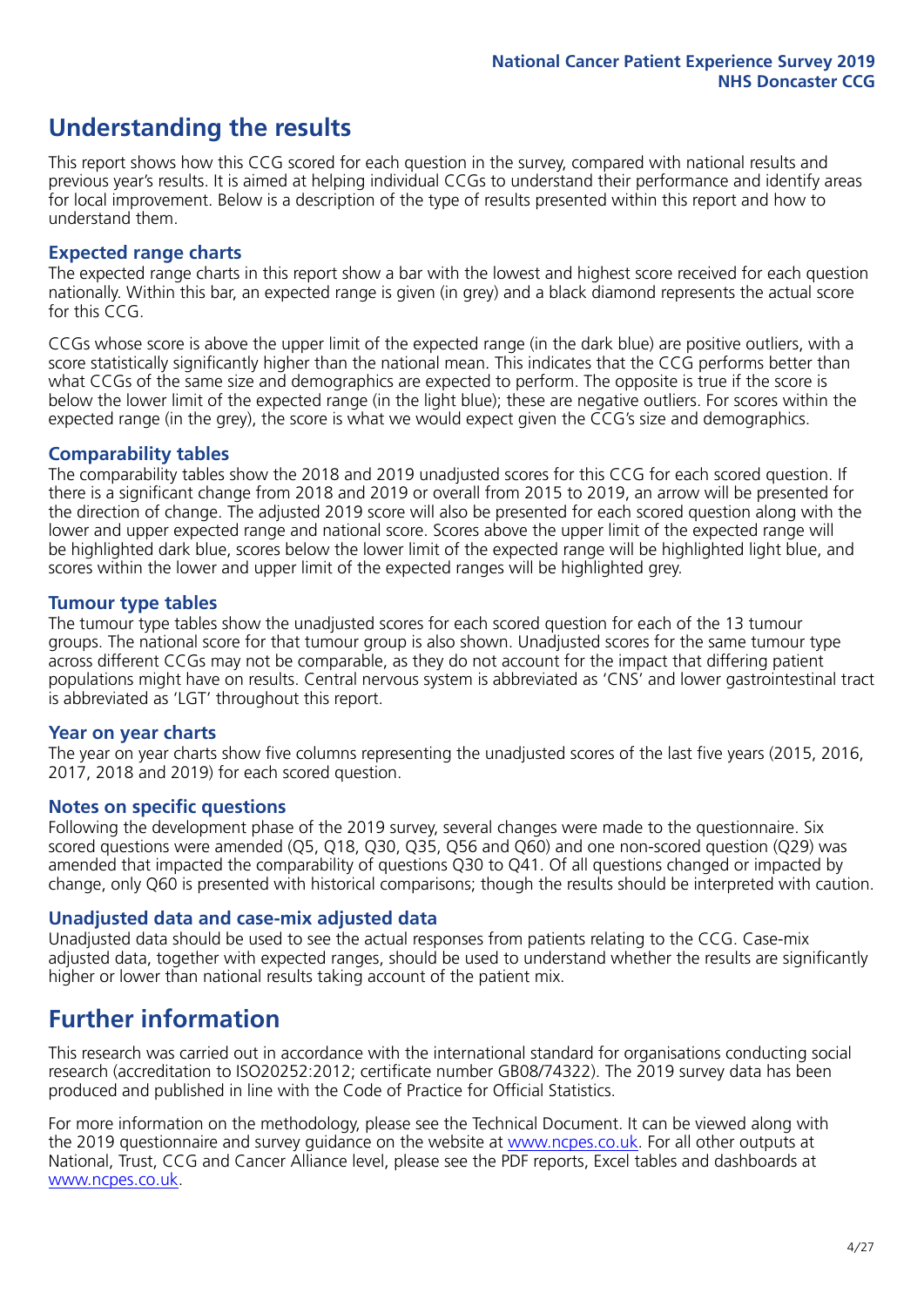# **Understanding the results**

This report shows how this CCG scored for each question in the survey, compared with national results and previous year's results. It is aimed at helping individual CCGs to understand their performance and identify areas for local improvement. Below is a description of the type of results presented within this report and how to understand them.

### **Expected range charts**

The expected range charts in this report show a bar with the lowest and highest score received for each question nationally. Within this bar, an expected range is given (in grey) and a black diamond represents the actual score for this CCG.

CCGs whose score is above the upper limit of the expected range (in the dark blue) are positive outliers, with a score statistically significantly higher than the national mean. This indicates that the CCG performs better than what CCGs of the same size and demographics are expected to perform. The opposite is true if the score is below the lower limit of the expected range (in the light blue); these are negative outliers. For scores within the expected range (in the grey), the score is what we would expect given the CCG's size and demographics.

### **Comparability tables**

The comparability tables show the 2018 and 2019 unadjusted scores for this CCG for each scored question. If there is a significant change from 2018 and 2019 or overall from 2015 to 2019, an arrow will be presented for the direction of change. The adjusted 2019 score will also be presented for each scored question along with the lower and upper expected range and national score. Scores above the upper limit of the expected range will be highlighted dark blue, scores below the lower limit of the expected range will be highlighted light blue, and scores within the lower and upper limit of the expected ranges will be highlighted grey.

### **Tumour type tables**

The tumour type tables show the unadjusted scores for each scored question for each of the 13 tumour groups. The national score for that tumour group is also shown. Unadjusted scores for the same tumour type across different CCGs may not be comparable, as they do not account for the impact that differing patient populations might have on results. Central nervous system is abbreviated as 'CNS' and lower gastrointestinal tract is abbreviated as 'LGT' throughout this report.

### **Year on year charts**

The year on year charts show five columns representing the unadjusted scores of the last five years (2015, 2016, 2017, 2018 and 2019) for each scored question.

### **Notes on specific questions**

Following the development phase of the 2019 survey, several changes were made to the questionnaire. Six scored questions were amended (Q5, Q18, Q30, Q35, Q56 and Q60) and one non-scored question (Q29) was amended that impacted the comparability of questions Q30 to Q41. Of all questions changed or impacted by change, only Q60 is presented with historical comparisons; though the results should be interpreted with caution.

### **Unadjusted data and case-mix adjusted data**

Unadjusted data should be used to see the actual responses from patients relating to the CCG. Case-mix adjusted data, together with expected ranges, should be used to understand whether the results are significantly higher or lower than national results taking account of the patient mix.

### **Further information**

This research was carried out in accordance with the international standard for organisations conducting social research (accreditation to ISO20252:2012; certificate number GB08/74322). The 2019 survey data has been produced and published in line with the Code of Practice for Official Statistics.

For more information on the methodology, please see the Technical Document. It can be viewed along with the 2019 questionnaire and survey quidance on the website at [www.ncpes.co.uk](https://www.ncpes.co.uk/supporting-documents). For all other outputs at National, Trust, CCG and Cancer Alliance level, please see the PDF reports, Excel tables and dashboards at [www.ncpes.co.uk.](https://www.ncpes.co.uk/current-results)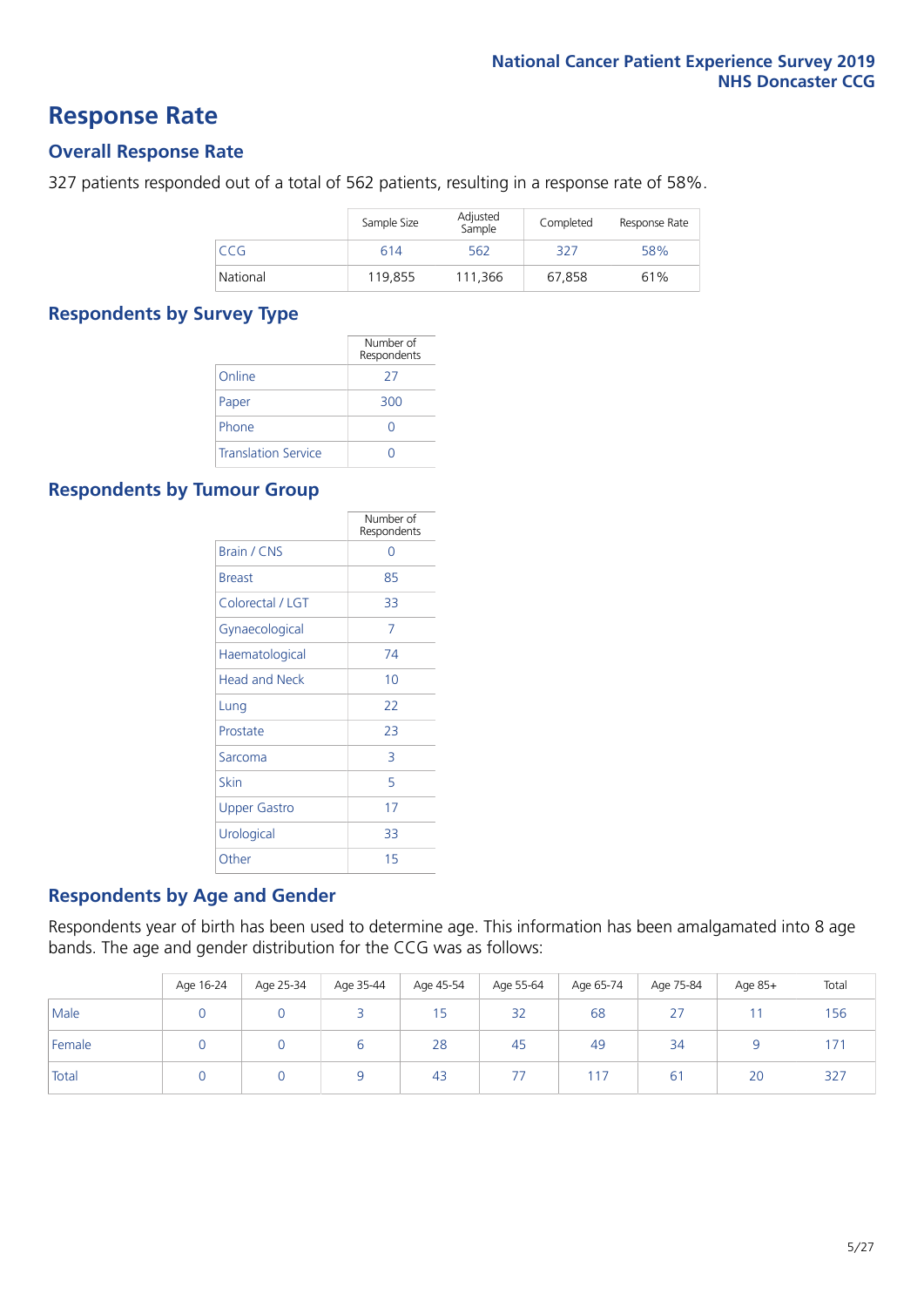### **Response Rate**

### **Overall Response Rate**

327 patients responded out of a total of 562 patients, resulting in a response rate of 58%.

|            | Sample Size | Adjusted<br>Sample | Completed | Response Rate |
|------------|-------------|--------------------|-----------|---------------|
| <b>CCG</b> | 614         | 562                | 327       | 58%           |
| National   | 119.855     | 111.366            | 67.858    | 61%           |

### **Respondents by Survey Type**

|                            | Number of<br>Respondents |
|----------------------------|--------------------------|
| Online                     | 27                       |
| Paper                      | 300                      |
| Phone                      |                          |
| <b>Translation Service</b> |                          |

### **Respondents by Tumour Group**

|                      | Number of<br>Respondents |
|----------------------|--------------------------|
| Brain / CNS          | ∩                        |
| <b>Breast</b>        | 85                       |
| Colorectal / LGT     | 33                       |
| Gynaecological       | 7                        |
| Haematological       | 74                       |
| <b>Head and Neck</b> | 10                       |
| Lung                 | 22                       |
| Prostate             | 23                       |
| Sarcoma              | 3                        |
| Skin                 | 5                        |
| Upper Gastro         | 17                       |
| Urological           | 33                       |
| Other                | 15                       |

### **Respondents by Age and Gender**

Respondents year of birth has been used to determine age. This information has been amalgamated into 8 age bands. The age and gender distribution for the CCG was as follows:

|        | Age 16-24 | Age 25-34 | Age 35-44 | Age 45-54 | Age 55-64 | Age 65-74 | Age 75-84   | Age 85+ | Total |
|--------|-----------|-----------|-----------|-----------|-----------|-----------|-------------|---------|-------|
| Male   |           |           |           | 15        | 32        | 68        | 27          |         | 156   |
| Female |           |           | ь         | 28        | 45        | 49        | 34          |         | 171   |
| Total  |           |           |           | 43        | 77        | 117       | $6^{\circ}$ | 20      | 327   |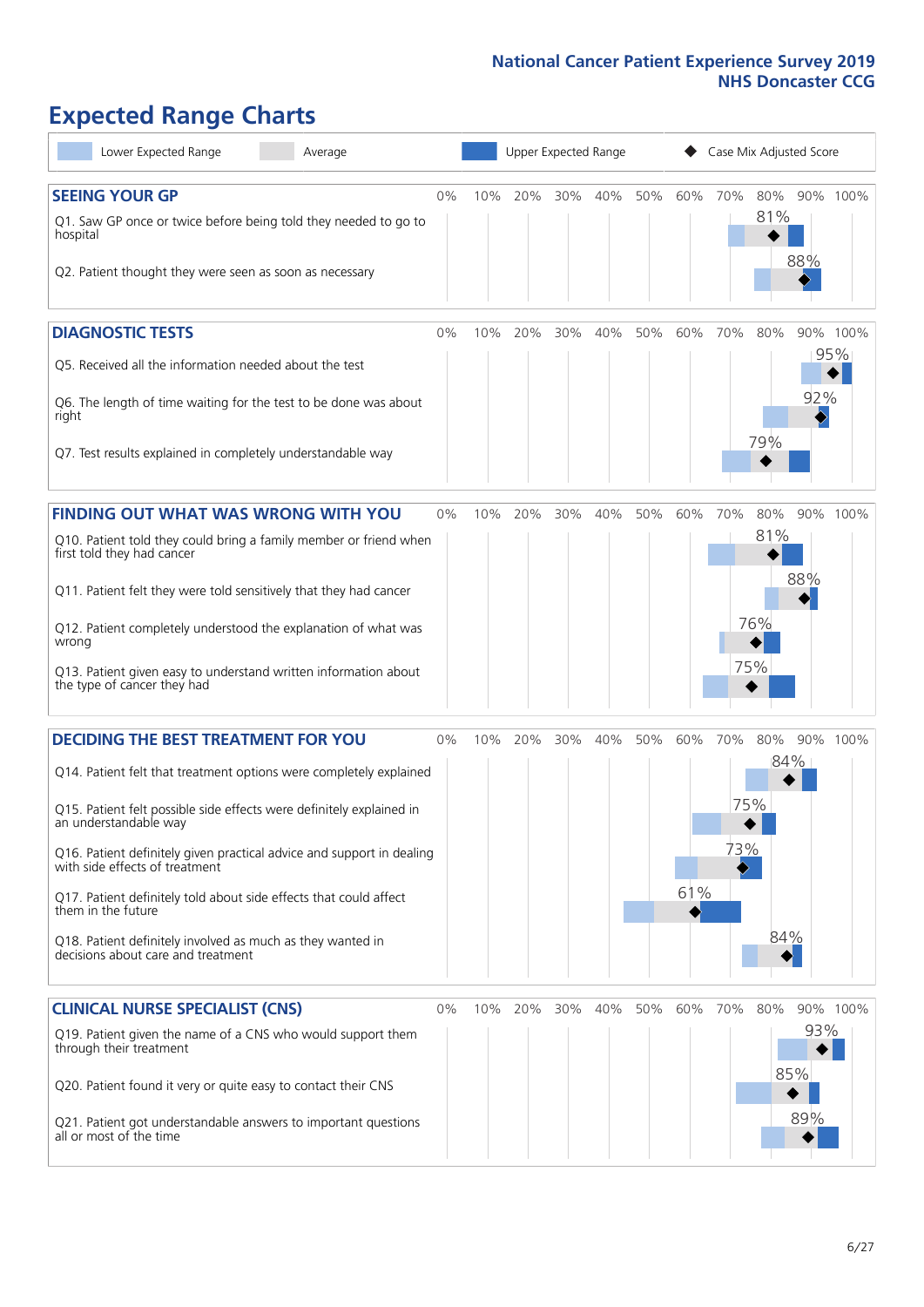# **Expected Range Charts**

| Lower Expected Range<br>Average                                                                         |       |     |     | Upper Expected Range |     |     |     | Case Mix Adjusted Score |     |     |          |
|---------------------------------------------------------------------------------------------------------|-------|-----|-----|----------------------|-----|-----|-----|-------------------------|-----|-----|----------|
| <b>SEEING YOUR GP</b>                                                                                   | 0%    | 10% | 20% | 30%                  | 40% | 50% | 60% | 70%                     | 80% |     | 90% 100% |
| Q1. Saw GP once or twice before being told they needed to go to<br>hospital                             |       |     |     |                      |     |     |     |                         | 81% |     |          |
| Q2. Patient thought they were seen as soon as necessary                                                 |       |     |     |                      |     |     |     |                         |     | 88% |          |
| <b>DIAGNOSTIC TESTS</b>                                                                                 | $0\%$ | 10% | 20% | 30%                  | 40% | 50% | 60% | 70%                     | 80% |     | 90% 100% |
| Q5. Received all the information needed about the test                                                  |       |     |     |                      |     |     |     |                         |     |     | 95%      |
| Q6. The length of time waiting for the test to be done was about<br>right                               |       |     |     |                      |     |     |     |                         |     | 92% |          |
| Q7. Test results explained in completely understandable way                                             |       |     |     |                      |     |     |     |                         | 79% |     |          |
| <b>FINDING OUT WHAT WAS WRONG WITH YOU</b>                                                              | $0\%$ | 10% | 20% | 30%                  | 40% | 50% | 60% | 70%                     | 80% |     | 90% 100% |
| Q10. Patient told they could bring a family member or friend when<br>first told they had cancer         |       |     |     |                      |     |     |     |                         | 81% |     |          |
| Q11. Patient felt they were told sensitively that they had cancer                                       |       |     |     |                      |     |     |     |                         |     | 88% |          |
| Q12. Patient completely understood the explanation of what was<br>wrong                                 |       |     |     |                      |     |     |     |                         | 76% |     |          |
| Q13. Patient given easy to understand written information about<br>the type of cancer they had          |       |     |     |                      |     |     |     |                         | 75% |     |          |
| <b>DECIDING THE BEST TREATMENT FOR YOU</b>                                                              | $0\%$ | 10% | 20% | 30%                  | 40% | 50% | 60% | 70%                     | 80% |     | 90% 100% |
| Q14. Patient felt that treatment options were completely explained                                      |       |     |     |                      |     |     |     |                         |     | 84% |          |
| Q15. Patient felt possible side effects were definitely explained in<br>an understandable way           |       |     |     |                      |     |     |     | 75%                     |     |     |          |
| Q16. Patient definitely given practical advice and support in dealing<br>with side effects of treatment |       |     |     |                      |     |     |     | 73%                     |     |     |          |
| Q17. Patient definitely told about side effects that could affect<br>them in the future                 |       |     |     |                      |     |     | 61% |                         |     |     |          |
| Q18. Patient definitely involved as much as they wanted in<br>decisions about care and treatment        |       |     |     |                      |     |     |     |                         | 84% |     |          |
| <b>CLINICAL NURSE SPECIALIST (CNS)</b>                                                                  | $0\%$ | 10% | 20% | 30%                  | 40% | 50% | 60% | 70%                     | 80% |     | 90% 100% |
| Q19. Patient given the name of a CNS who would support them<br>through their treatment                  |       |     |     |                      |     |     |     |                         |     | 93% |          |
| Q20. Patient found it very or quite easy to contact their CNS                                           |       |     |     |                      |     |     |     |                         |     | 85% |          |
| Q21. Patient got understandable answers to important questions<br>all or most of the time               |       |     |     |                      |     |     |     |                         |     | 89% |          |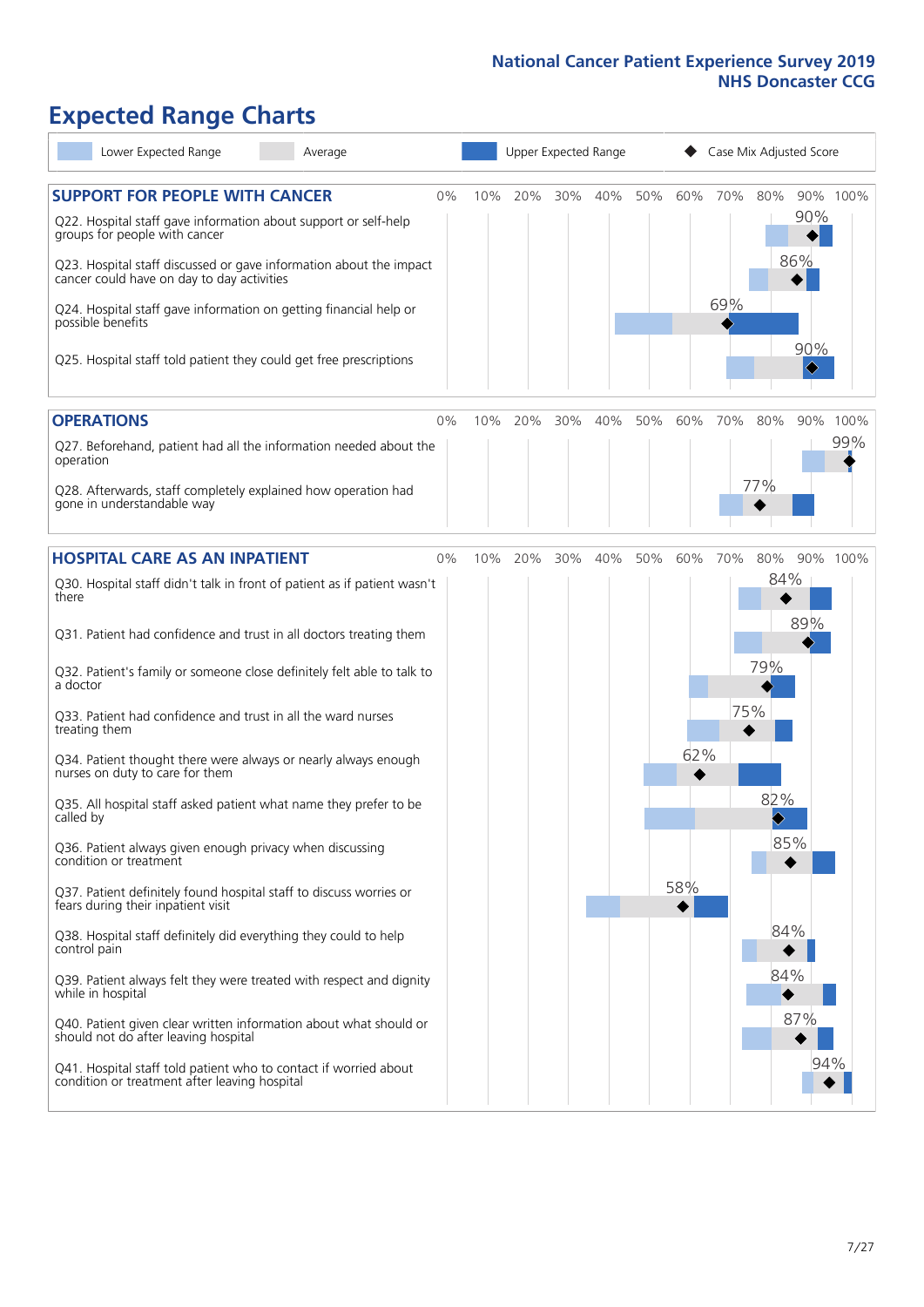# **Expected Range Charts**

| Lower Expected Range<br>Average                                                                                                                                                                            |    |     |         |     | Upper Expected Range |     | Case Mix Adjusted Score |     |                                     |                                     |          |
|------------------------------------------------------------------------------------------------------------------------------------------------------------------------------------------------------------|----|-----|---------|-----|----------------------|-----|-------------------------|-----|-------------------------------------|-------------------------------------|----------|
| <b>SUPPORT FOR PEOPLE WITH CANCER</b><br>Q22. Hospital staff gave information about support or self-help<br>groups for people with cancer                                                                  | 0% | 10% | 20%     | 30% | 40%                  | 50% | 60%                     | 70% | 80%                                 | 90%<br>86%                          | 90% 100% |
| Q23. Hospital staff discussed or gave information about the impact<br>cancer could have on day to day activities<br>Q24. Hospital staff gave information on getting financial help or<br>possible benefits |    |     |         |     |                      |     |                         | 69% |                                     |                                     |          |
| Q25. Hospital staff told patient they could get free prescriptions                                                                                                                                         |    |     |         |     |                      |     |                         |     |                                     | 90%<br>$\color{black}\blacklozenge$ |          |
| <b>OPERATIONS</b>                                                                                                                                                                                          | 0% | 10% | 20%     | 30% | 40%                  | 50% | 60%                     | 70% | 80%                                 | 90%                                 | 100%     |
| Q27. Beforehand, patient had all the information needed about the<br>operation                                                                                                                             |    |     |         |     |                      |     |                         |     |                                     |                                     | 99%      |
| Q28. Afterwards, staff completely explained how operation had<br>gone in understandable way                                                                                                                |    |     |         |     |                      |     |                         |     | 77%                                 |                                     |          |
| <b>HOSPITAL CARE AS AN INPATIENT</b>                                                                                                                                                                       | 0% |     | 10% 20% | 30% | 40%                  | 50% | 60%                     | 70% | 80%                                 |                                     | 90% 100% |
| Q30. Hospital staff didn't talk in front of patient as if patient wasn't<br>there                                                                                                                          |    |     |         |     |                      |     |                         |     | 84%                                 | 89%                                 |          |
| Q31. Patient had confidence and trust in all doctors treating them                                                                                                                                         |    |     |         |     |                      |     |                         |     |                                     |                                     |          |
| Q32. Patient's family or someone close definitely felt able to talk to<br>a doctor                                                                                                                         |    |     |         |     |                      |     |                         |     | 79%                                 |                                     |          |
| Q33. Patient had confidence and trust in all the ward nurses<br>treating them                                                                                                                              |    |     |         |     |                      |     |                         | 75% |                                     |                                     |          |
| Q34. Patient thought there were always or nearly always enough<br>nurses on duty to care for them                                                                                                          |    |     |         |     |                      |     | 62%                     |     |                                     |                                     |          |
| Q35. All hospital staff asked patient what name they prefer to be<br>called by                                                                                                                             |    |     |         |     |                      |     |                         |     | 82%<br>$\color{black}\blacklozenge$ |                                     |          |
| Q36. Patient always given enough privacy when discussing<br>condition or treatment                                                                                                                         |    |     |         |     |                      |     |                         |     | 85%                                 |                                     |          |
| Q37. Patient definitely found hospital staff to discuss worries or<br>fears during their inpatient visit                                                                                                   |    |     |         |     |                      |     | 58%                     |     |                                     |                                     |          |
| Q38. Hospital staff definitely did everything they could to help<br>control pain                                                                                                                           |    |     |         |     |                      |     |                         |     | 84%                                 |                                     |          |
| Q39. Patient always felt they were treated with respect and dignity<br>while in hospital                                                                                                                   |    |     |         |     |                      |     |                         |     | 84%                                 |                                     |          |
| Q40. Patient given clear written information about what should or<br>should not do after leaving hospital                                                                                                  |    |     |         |     |                      |     |                         |     |                                     | 87%                                 |          |
| Q41. Hospital staff told patient who to contact if worried about<br>condition or treatment after leaving hospital                                                                                          |    |     |         |     |                      |     |                         |     |                                     | 94%                                 |          |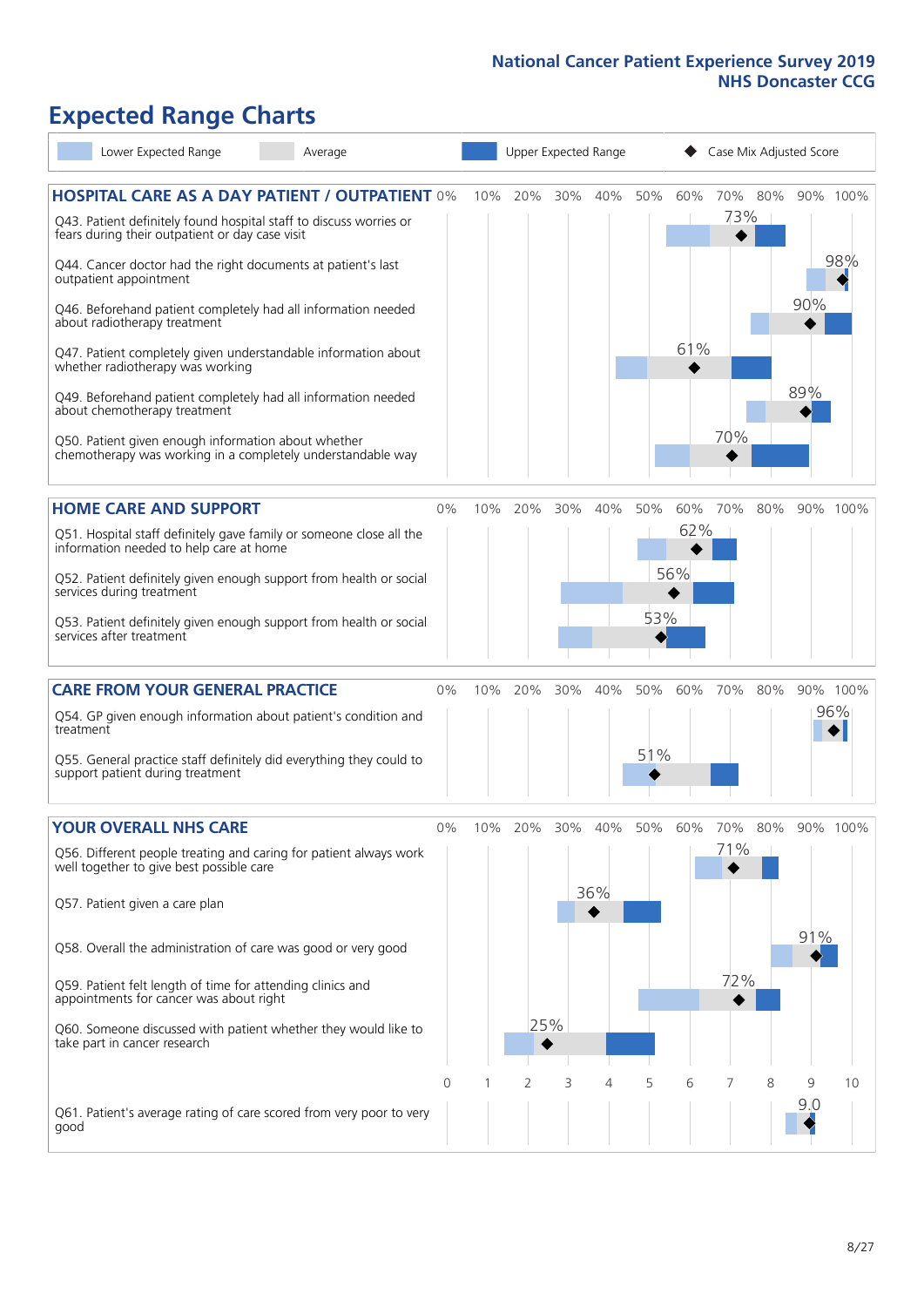# **Expected Range Charts**

| Lower Expected Range<br>Average                                                                                                                                                                                                                                                                                                                                                                                                                                                                                                                                                                                                                                                                        |       |     | Upper Expected Range |     |            |            |                   | Case Mix Adjusted Score |     |            |                 |
|--------------------------------------------------------------------------------------------------------------------------------------------------------------------------------------------------------------------------------------------------------------------------------------------------------------------------------------------------------------------------------------------------------------------------------------------------------------------------------------------------------------------------------------------------------------------------------------------------------------------------------------------------------------------------------------------------------|-------|-----|----------------------|-----|------------|------------|-------------------|-------------------------|-----|------------|-----------------|
| <b>HOSPITAL CARE AS A DAY PATIENT / OUTPATIENT 0%</b><br>Q43. Patient definitely found hospital staff to discuss worries or<br>fears during their outpatient or day case visit<br>Q44. Cancer doctor had the right documents at patient's last<br>outpatient appointment<br>Q46. Beforehand patient completely had all information needed<br>about radiotherapy treatment<br>Q47. Patient completely given understandable information about<br>whether radiotherapy was working<br>Q49. Beforehand patient completely had all information needed<br>about chemotherapy treatment<br>Q50. Patient given enough information about whether<br>chemotherapy was working in a completely understandable way |       | 10% | 20%                  | 30% | 40%        | 50%        | 60%<br>61%        | 70%<br>73%  <br>70%     | 80% | 90%<br>89% | 90% 100%<br>98% |
| <b>HOME CARE AND SUPPORT</b><br>Q51. Hospital staff definitely gave family or someone close all the<br>information needed to help care at home<br>Q52. Patient definitely given enough support from health or social<br>services during treatment<br>Q53. Patient definitely given enough support from health or social<br>services after treatment                                                                                                                                                                                                                                                                                                                                                    | 0%    | 10% | 20%                  | 30% | 40%        | 50%<br>53% | 60%<br>62%<br>56% | 70%                     | 80% |            | 90% 100%        |
| <b>CARE FROM YOUR GENERAL PRACTICE</b><br>Q54. GP given enough information about patient's condition and<br>treatment<br>Q55. General practice staff definitely did everything they could to<br>support patient during treatment                                                                                                                                                                                                                                                                                                                                                                                                                                                                       | 0%    | 10% | 20%                  | 30% | 40%        | 50%<br>51% | 60%               | 70%                     | 80% |            | 90% 100%<br>96% |
| <b>YOUR OVERALL NHS CARE</b><br>Q56. Different people treating and caring for patient always work<br>well together to give best possible care<br>Q57. Patient given a care plan<br>Q58. Overall the administration of care was good or very good<br>Q59. Patient felt length of time for attending clinics and<br>appointments for cancer was about right<br>Q60. Someone discussed with patient whether they would like to<br>take part in cancer research                                                                                                                                                                                                                                            | $0\%$ | 10% | 20%<br>25%           | 30% | 40%<br>36% | 50%        | 60%               | 70%<br>71%<br>72%       | 80% | 91%        | 90% 100%        |
| Q61. Patient's average rating of care scored from very poor to very<br>good                                                                                                                                                                                                                                                                                                                                                                                                                                                                                                                                                                                                                            | 0     |     | 2                    | 3   | 4          | 5          | 6                 | 7                       | 8   | 9<br>9.0   | 10              |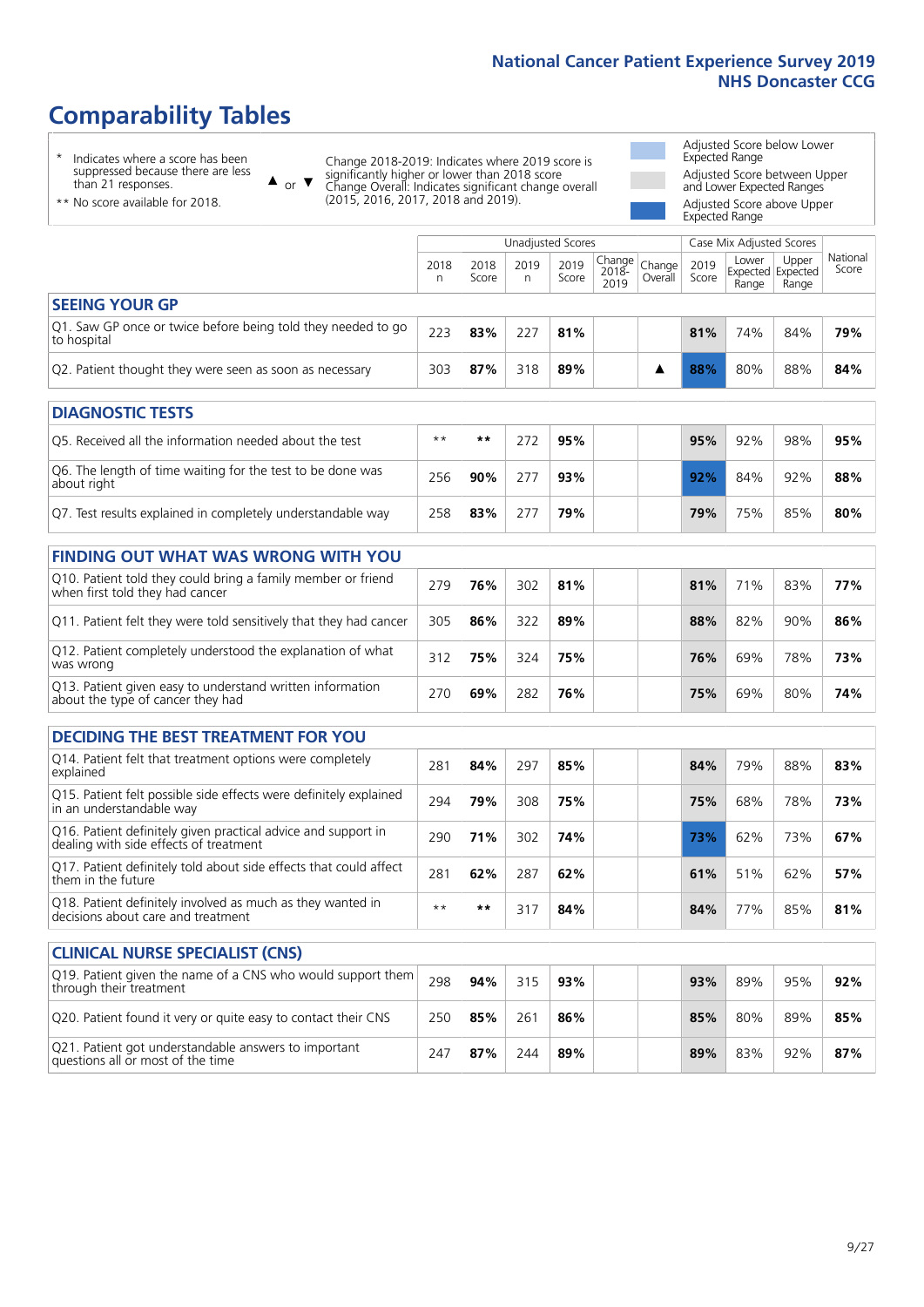# **Comparability Tables**

\* Indicates where a score has been suppressed because there are less than 21 responses.

\*\* No score available for 2018.

 $\triangle$  or  $\nabla$ 

Change 2018-2019: Indicates where 2019 score is significantly higher or lower than 2018 score Change Overall: Indicates significant change overall (2015, 2016, 2017, 2018 and 2019).

Adjusted Score below Lower Expected Range Adjusted Score between Upper and Lower Expected Ranges Adjusted Score above Upper Expected Range

|                                                                             | Case Mix Adjusted Scores<br>Unadjusted Scores |               |            |               |                           |                   |               |                |                                     |                   |
|-----------------------------------------------------------------------------|-----------------------------------------------|---------------|------------|---------------|---------------------------|-------------------|---------------|----------------|-------------------------------------|-------------------|
|                                                                             | 2018<br>n                                     | 2018<br>Score | 2019<br>n. | 2019<br>Score | Change  <br>2018-<br>2019 | Change<br>Overall | 2019<br>Score | Lower<br>Range | Upper<br>Expected Expected<br>Range | National<br>Score |
| <b>SEEING YOUR GP</b>                                                       |                                               |               |            |               |                           |                   |               |                |                                     |                   |
| Q1. Saw GP once or twice before being told they needed to go<br>to hospital | 223                                           | 83%           | 227        | 81%           |                           |                   | 81%           | 74%            | 84%                                 | 79%               |
| Q2. Patient thought they were seen as soon as necessary                     | 303                                           | 87%           | 318        | 89%           |                           |                   | 88%           | 80%            | 88%                                 | 84%               |
| <b>DIAGNOSTIC TESTS</b>                                                     |                                               |               |            |               |                           |                   |               |                |                                     |                   |

| O5. Received all the information needed about the test                    | $**$ | **  | 95% |  | 95% | 92% | 98%    | 95% |
|---------------------------------------------------------------------------|------|-----|-----|--|-----|-----|--------|-----|
| O6. The length of time waiting for the test to be done was<br>about right | 256  | 90% | 93% |  | 92% | 84% | $92\%$ | 88% |
| Q7. Test results explained in completely understandable way               | 258  | 83% | 79% |  | 79% | 75% | 85%    | 80% |

| <b>FINDING OUT WHAT WAS WRONG WITH YOU</b>                                                      |     |     |     |     |     |     |     |     |
|-------------------------------------------------------------------------------------------------|-----|-----|-----|-----|-----|-----|-----|-----|
| Q10. Patient told they could bring a family member or friend<br>when first told they had cancer | 279 | 76% | 302 | 81% | 81% | 71% | 83% | 77% |
| Q11. Patient felt they were told sensitively that they had cancer                               | 305 | 86% | 322 | 89% | 88% | 82% | 90% | 86% |
| Q12. Patient completely understood the explanation of what<br>was wrong                         | 312 | 75% | 324 | 75% | 76% | 69% | 78% | 73% |
| Q13. Patient given easy to understand written information<br>about the type of cancer they had  | 270 | 69% | 282 | 76% | 75% | 69% | 80% | 74% |

| <b>DECIDING THE BEST TREATMENT FOR YOU</b>                                                              |      |     |     |     |  |     |     |     |     |
|---------------------------------------------------------------------------------------------------------|------|-----|-----|-----|--|-----|-----|-----|-----|
| Q14. Patient felt that treatment options were completely<br>explained                                   | 281  | 84% | 297 | 85% |  | 84% | 79% | 88% | 83% |
| Q15. Patient felt possible side effects were definitely explained<br>in an understandable way           | 294  | 79% | 308 | 75% |  | 75% | 68% | 78% | 73% |
| Q16. Patient definitely given practical advice and support in<br>dealing with side effects of treatment | 290  | 71% | 302 | 74% |  | 73% | 62% | 73% | 67% |
| Q17. Patient definitely told about side effects that could affect<br>them in the future                 | 281  | 62% | 287 | 62% |  | 61% | 51% | 62% | 57% |
| Q18. Patient definitely involved as much as they wanted in<br>decisions about care and treatment        | $**$ | **  | 317 | 84% |  | 84% | 77% | 85% | 81% |

| <b>CLINICAL NURSE SPECIALIST (CNS)</b>                                                    |     |     |     |     |     |     |     |     |
|-------------------------------------------------------------------------------------------|-----|-----|-----|-----|-----|-----|-----|-----|
| [Q19] Patient given the name of a CNS who would support them<br>through their treatment   | 298 | 94% | 315 | 93% | 93% | 89% | 95% | 92% |
| Q20. Patient found it very or quite easy to contact their CNS                             | 250 | 85% | 261 | 86% | 85% | 80% | 89% | 85% |
| Q21. Patient got understandable answers to important<br>questions all or most of the time | 247 | 87% | 244 | 89% | 89% | 83% | 92% | 87% |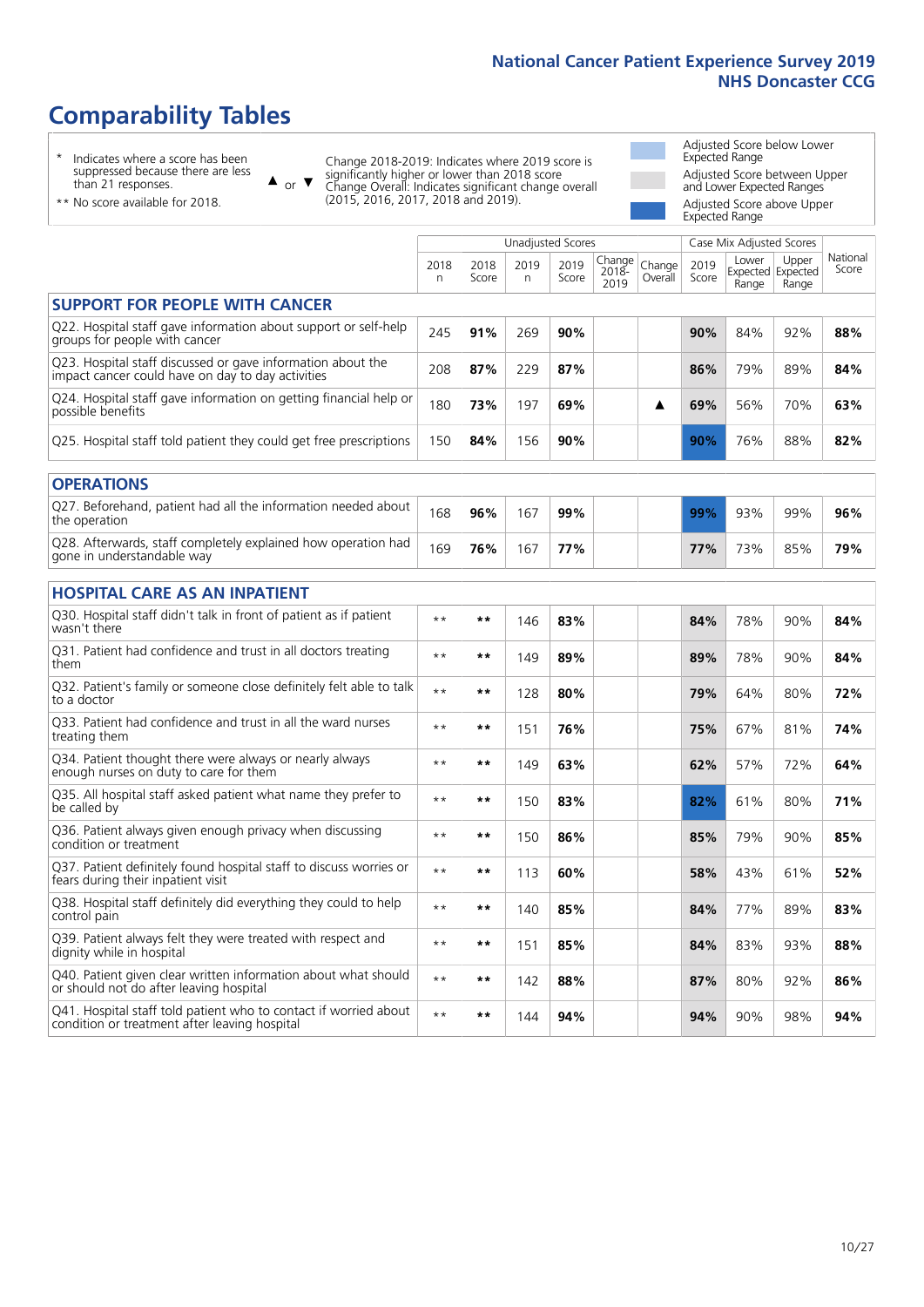# **Comparability Tables**

\* Indicates where a score has been suppressed because there are less than 21 responses.

\*\* No score available for 2018.

 $\triangle$  or  $\nabla$ 

Change 2018-2019: Indicates where 2019 score is significantly higher or lower than 2018 score Change Overall: Indicates significant change overall (2015, 2016, 2017, 2018 and 2019).

Adjusted Score below Lower Expected Range Adjusted Score between Upper and Lower Expected Ranges Adjusted Score above Upper Expected Range

|                                                                                                                   |              |               | <b>Unadjusted Scores</b> |               |                         |                   |               | Case Mix Adjusted Scores            |                |                   |
|-------------------------------------------------------------------------------------------------------------------|--------------|---------------|--------------------------|---------------|-------------------------|-------------------|---------------|-------------------------------------|----------------|-------------------|
|                                                                                                                   | 2018<br>n    | 2018<br>Score | 2019<br>n.               | 2019<br>Score | Change<br>2018-<br>2019 | Change<br>Overall | 2019<br>Score | Lower<br>Expected Expected<br>Range | Upper<br>Range | National<br>Score |
| <b>SUPPORT FOR PEOPLE WITH CANCER</b>                                                                             |              |               |                          |               |                         |                   |               |                                     |                |                   |
| Q22. Hospital staff gave information about support or self-help<br>groups for people with cancer                  | 245          | 91%           | 269                      | 90%           |                         |                   | 90%           | 84%                                 | 92%            | 88%               |
| Q23. Hospital staff discussed or gave information about the<br>impact cancer could have on day to day activities  | 208          | 87%           | 229                      | 87%           |                         |                   | 86%           | 79%                                 | 89%            | 84%               |
| Q24. Hospital staff gave information on getting financial help or<br>possible benefits                            | 180          | 73%           | 197                      | 69%           |                         | ▲                 | 69%           | 56%                                 | 70%            | 63%               |
| Q25. Hospital staff told patient they could get free prescriptions                                                | 150          | 84%           | 156                      | 90%           |                         |                   | 90%           | 76%                                 | 88%            | 82%               |
| <b>OPERATIONS</b>                                                                                                 |              |               |                          |               |                         |                   |               |                                     |                |                   |
| Q27. Beforehand, patient had all the information needed about<br>the operation                                    | 168          | 96%           | 167                      | 99%           |                         |                   | 99%           | 93%                                 | 99%            | 96%               |
| Q28. Afterwards, staff completely explained how operation had<br>gone in understandable way                       | 169          | 76%           | 167                      | 77%           |                         |                   | 77%           | 73%                                 | 85%            | 79%               |
| <b>HOSPITAL CARE AS AN INPATIENT</b>                                                                              |              |               |                          |               |                         |                   |               |                                     |                |                   |
| Q30. Hospital staff didn't talk in front of patient as if patient<br>wasn't there                                 | $\star\star$ | **            | 146                      | 83%           |                         |                   | 84%           | 78%                                 | 90%            | 84%               |
| Q31. Patient had confidence and trust in all doctors treating<br>them                                             | $**$         | $***$         | 149                      | 89%           |                         |                   | 89%           | 78%                                 | 90%            | 84%               |
| Q32. Patient's family or someone close definitely felt able to talk<br>to a doctor                                | $**$         | **            | 128                      | 80%           |                         |                   | 79%           | 64%                                 | 80%            | 72%               |
| O33. Patient had confidence and trust in all the ward nurses<br>treating them                                     | $**$         | $***$         | 151                      | 76%           |                         |                   | 75%           | 67%                                 | 81%            | 74%               |
| Q34. Patient thought there were always or nearly always<br>enough nurses on duty to care for them                 | $**$         | **            | 149                      | 63%           |                         |                   | 62%           | 57%                                 | 72%            | 64%               |
| Q35. All hospital staff asked patient what name they prefer to<br>be called by                                    | $\star\star$ | **            | 150                      | 83%           |                         |                   | 82%           | 61%                                 | 80%            | 71%               |
| Q36. Patient always given enough privacy when discussing<br>condition or treatment                                | $* *$        | **            | 150                      | 86%           |                         |                   | 85%           | 79%                                 | 90%            | 85%               |
| Q37. Patient definitely found hospital staff to discuss worries or<br>fears during their inpatient visit          | $\star\star$ | **            | 113                      | 60%           |                         |                   | 58%           | 43%                                 | 61%            | 52%               |
| Q38. Hospital staff definitely did everything they could to help<br>control pain                                  | $* *$        | **            | 140                      | 85%           |                         |                   | 84%           | 77%                                 | 89%            | 83%               |
| Q39. Patient always felt they were treated with respect and<br>dignity while in hospital                          | $\star\star$ | **            | 151                      | 85%           |                         |                   | 84%           | 83%                                 | 93%            | 88%               |
| Q40. Patient given clear written information about what should<br>or should not do after leaving hospital         | $**$         | **            | 142                      | 88%           |                         |                   | 87%           | 80%                                 | 92%            | 86%               |
| Q41. Hospital staff told patient who to contact if worried about<br>condition or treatment after leaving hospital | $* *$        | **            | 144                      | 94%           |                         |                   | 94%           | 90%                                 | 98%            | 94%               |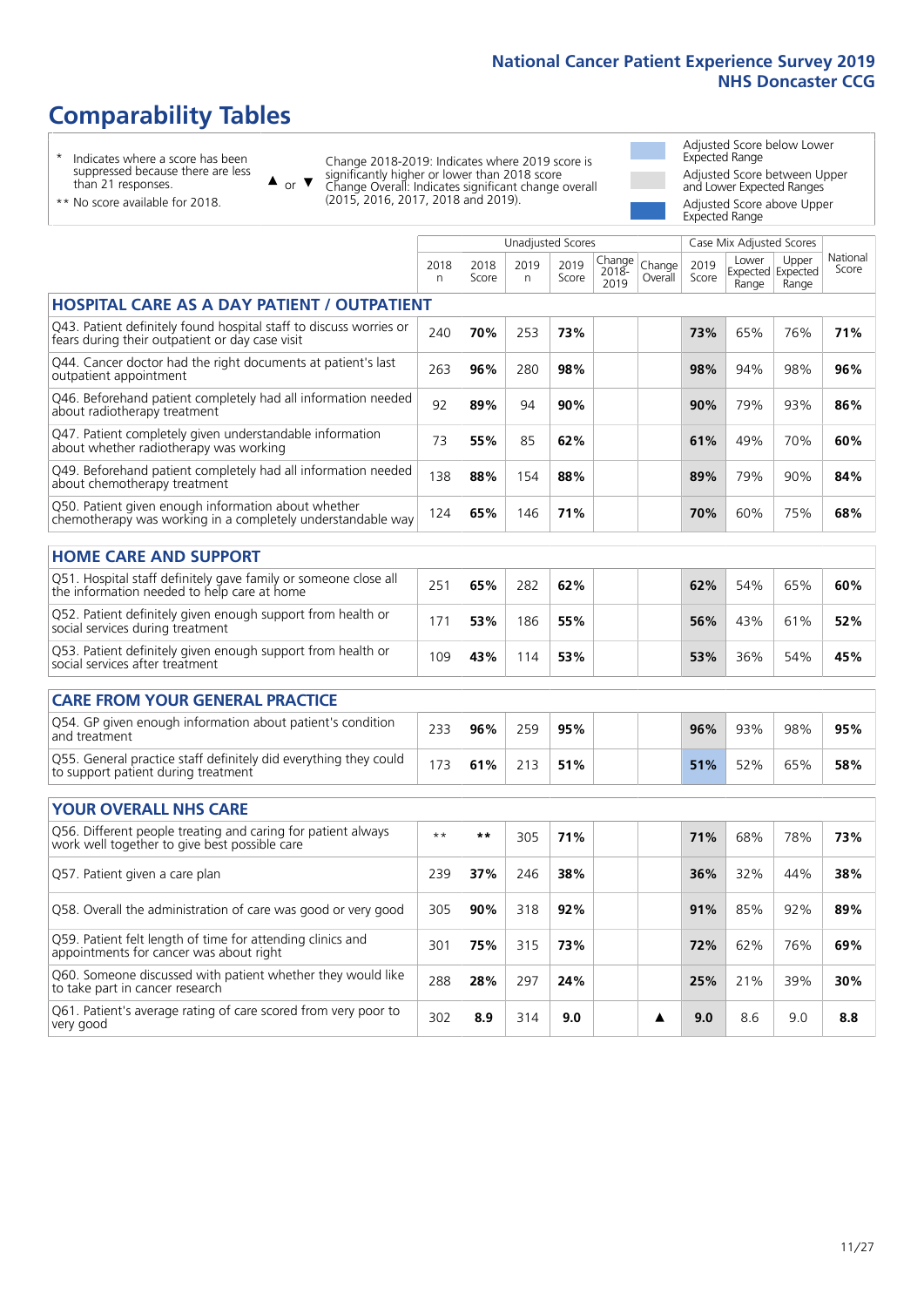# **Comparability Tables**

\* Indicates where a score has been suppressed because there are less than 21 responses.

\*\* No score available for 2018.

 $\triangle$  or  $\nabla$ 

Change 2018-2019: Indicates where 2019 score is significantly higher or lower than 2018 score Change Overall: Indicates significant change overall (2015, 2016, 2017, 2018 and 2019).

Adjusted Score below Lower Expected Range Adjusted Score between Upper and Lower Expected Ranges Adjusted Score above Upper Expected Range

|                                                                                                                       |           | <b>Unadjusted Scores</b><br>Case Mix Adjusted Scores |           |               |                         |                   |               |                |                                     |                   |
|-----------------------------------------------------------------------------------------------------------------------|-----------|------------------------------------------------------|-----------|---------------|-------------------------|-------------------|---------------|----------------|-------------------------------------|-------------------|
|                                                                                                                       | 2018<br>n | 2018<br>Score                                        | 2019<br>n | 2019<br>Score | Change<br>2018-<br>2019 | Change<br>Overall | 2019<br>Score | Lower<br>Range | Upper<br>Expected Expected<br>Range | National<br>Score |
| <b>HOSPITAL CARE AS A DAY PATIENT / OUTPATIENT</b>                                                                    |           |                                                      |           |               |                         |                   |               |                |                                     |                   |
| Q43. Patient definitely found hospital staff to discuss worries or<br>fears during their outpatient or day case visit | 240       | 70%                                                  | 253       | 73%           |                         |                   | 73%           | 65%            | 76%                                 | 71%               |
| Q44. Cancer doctor had the right documents at patient's last<br>outpatient appointment                                | 263       | 96%                                                  | 280       | 98%           |                         |                   | 98%           | 94%            | 98%                                 | 96%               |
| Q46. Beforehand patient completely had all information needed<br>about radiotherapy treatment                         | 92        | 89%                                                  | 94        | 90%           |                         |                   | 90%           | 79%            | 93%                                 | 86%               |
| Q47. Patient completely given understandable information<br>about whether radiotherapy was working                    | 73        | 55%                                                  | 85        | 62%           |                         |                   | 61%           | 49%            | 70%                                 | 60%               |
| Q49. Beforehand patient completely had all information needed<br>about chemotherapy treatment                         | 138       | 88%                                                  | 154       | 88%           |                         |                   | 89%           | 79%            | 90%                                 | 84%               |
| Q50. Patient given enough information about whether<br>chemotherapy was working in a completely understandable way    | 124       | 65%                                                  | 146       | 71%           |                         |                   | 70%           | 60%            | 75%                                 | 68%               |
| <b>HOME CARE AND SUPPORT</b>                                                                                          |           |                                                      |           |               |                         |                   |               |                |                                     |                   |
| Q51. Hospital staff definitely gave family or someone close all<br>the information needed to help care at home        | 251       | 65%                                                  | 282       | 62%           |                         |                   | 62%           | 54%            | 65%                                 | 60%               |
| Q52. Patient definitely given enough support from health or<br>social services during treatment                       | 171       | 53%                                                  | 186       | 55%           |                         |                   | 56%           | 43%            | 61%                                 | 52%               |
| Q53. Patient definitely given enough support from health or<br>social services after treatment                        | 109       | 43%                                                  | 114       | 53%           |                         |                   | 53%           | 36%            | 54%                                 | 45%               |
| <b>CARE FROM YOUR GENERAL PRACTICE</b>                                                                                |           |                                                      |           |               |                         |                   |               |                |                                     |                   |
| Q54. GP given enough information about patient's condition<br>and treatment                                           | 233       | 96%                                                  | 259       | 95%           |                         |                   | 96%           | 93%            | 98%                                 | 95%               |
| Q55. General practice staff definitely did everything they could<br>to support patient during treatment               | 173       | 61%                                                  | 213       | 51%           |                         |                   | 51%           | 52%            | 65%                                 | 58%               |
| YOUR OVERALL NHS CARE                                                                                                 |           |                                                      |           |               |                         |                   |               |                |                                     |                   |
| Q56. Different people treating and caring for patient always                                                          |           |                                                      |           |               |                         |                   |               |                |                                     |                   |
| work well together to give best possible care                                                                         | $* *$     | $***$                                                | 305       | 71%           |                         |                   | 71%           | 68%            | 78%                                 | 73%               |
| Q57. Patient given a care plan                                                                                        | 239       | 37%                                                  | 246       | 38%           |                         |                   | 36%           | 32%            | 44%                                 | 38%               |
| Q58. Overall the administration of care was good or very good                                                         | 305       | 90%                                                  | 318       | 92%           |                         |                   | 91%           | 85%            | 92%                                 | 89%               |
| Q59. Patient felt length of time for attending clinics and<br>appointments for cancer was about right                 | 301       | 75%                                                  | 315       | 73%           |                         |                   | 72%           | 62%            | 76%                                 | 69%               |
| Q60. Someone discussed with patient whether they would like<br>to take part in cancer research                        | 288       | 28%                                                  | 297       | 24%           |                         |                   | 25%           | 21%            | 39%                                 | 30%               |
| Q61. Patient's average rating of care scored from very poor to<br>very good                                           | 302       | 8.9                                                  | 314       | 9.0           |                         | ▲                 | 9.0           | 8.6            | 9.0                                 | 8.8               |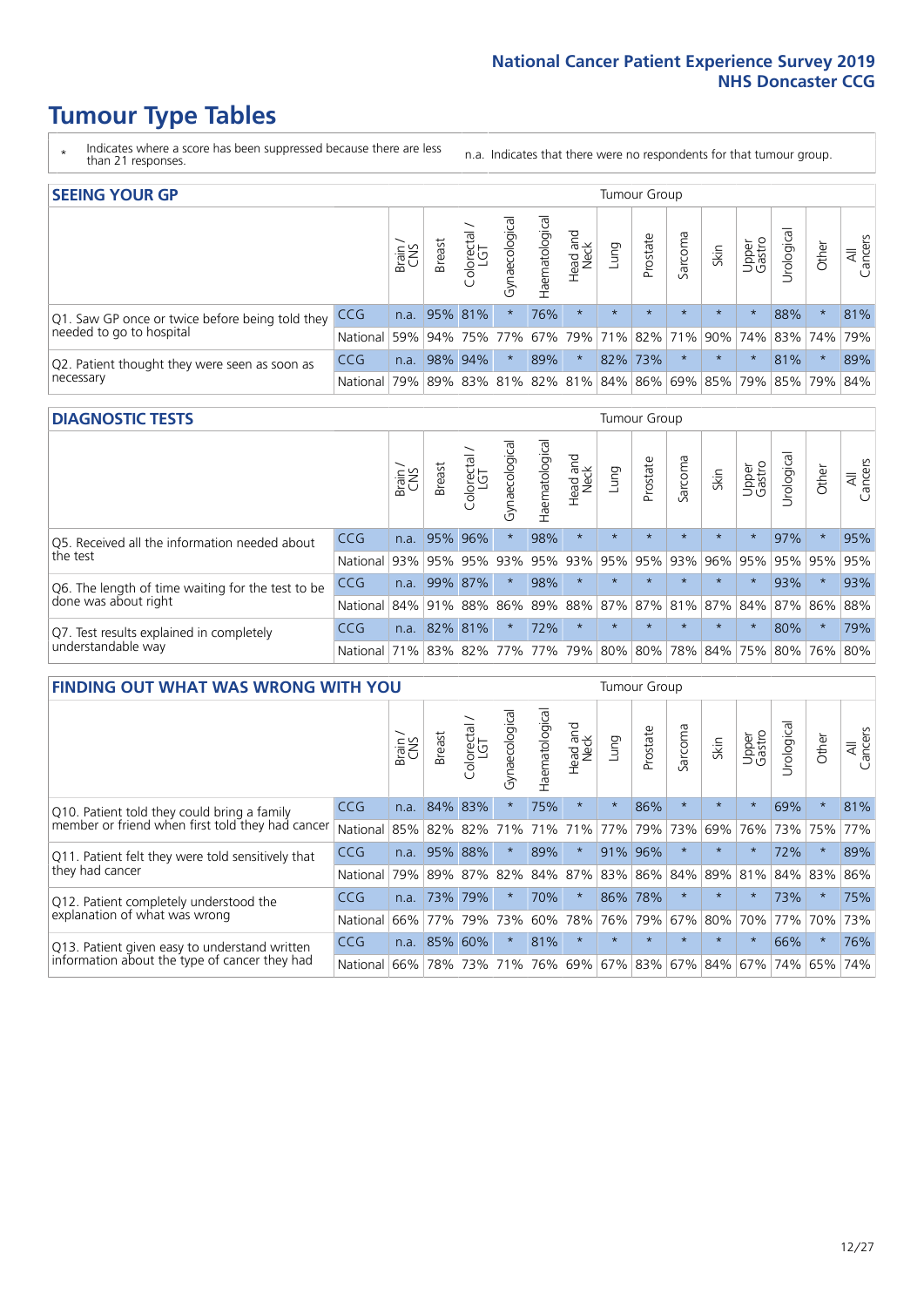# **Tumour Type Tables**

- \* Indicates where a score has been suppressed because there are less than 21 responses.
- n.a. Indicates that there were no respondents for that tumour group.

| <b>SEEING YOUR GP</b>                           |            |       |                 |             |                    |                |                  |         | Tumour Group |         |         |                 |                                                           |         |                |
|-------------------------------------------------|------------|-------|-----------------|-------------|--------------------|----------------|------------------|---------|--------------|---------|---------|-----------------|-----------------------------------------------------------|---------|----------------|
|                                                 |            | Brain | <b>Breast</b>   | Colorectal  | ᠊ᢛ<br>Gynaecologic | Haematological | Head and<br>Neck | Lung    | Prostate     | Sarcoma | Skin    | Upper<br>Gastro | $\sigma$<br>Jrologica                                     | Other   | All<br>Cancers |
| Q1. Saw GP once or twice before being told they | <b>CCG</b> |       | n.a. $95\%$ 81% |             | $\star$            | 76%            | $\star$          | $\star$ | $\star$      | $\star$ | $\star$ | $\star$         | 88%                                                       | $\star$ | 81%            |
| needed to go to hospital                        | National   | 59%   |                 | 94% 75% 77% |                    |                |                  |         |              |         |         |                 | 67% 79% 71% 82% 71% 90% 74% 83% 74% 79%                   |         |                |
| Q2. Patient thought they were seen as soon as   | <b>CCG</b> | n.a.  |                 | 98% 94%     | $\star$            | 89%            | $\star$          |         | 82% 73%      |         | $\star$ | $\star$         | 81%                                                       | $\star$ | 89%            |
| necessary                                       | National   | 79%   |                 | 89% 83%     |                    |                |                  |         |              |         |         |                 | 81%   82%   81%   84%   86%   69%   85%   79%   85%   79% |         | 84%            |

#### **DIAGNOSTIC TESTS** Tumour Group

|                                                   |                                          | Brain | <b>Breast</b> | Colorectal<br>LGT | ᠊ᢛ<br>Gynaecologic | Haematological | Head and<br>Neck | Lung        | Prostate | Sarcoma | Skin    | Upper<br>Gastro | rological                                   | Other   | All<br>Cancers |
|---------------------------------------------------|------------------------------------------|-------|---------------|-------------------|--------------------|----------------|------------------|-------------|----------|---------|---------|-----------------|---------------------------------------------|---------|----------------|
| Q5. Received all the information needed about     | <b>CCG</b>                               | n.a.  |               | 95% 96%           | $\star$            | 98%            | $\star$          | $\star$     | $\star$  |         | $\star$ | $\star$         | 97%                                         | $\star$ | 95%            |
| the test                                          | National                                 | 93%   |               | 95% 95%           |                    | 93% 95%        |                  | 93% 95% 95% |          | 93%     | 96%     |                 | 95% 95% 95%                                 |         | 95%            |
| Q6. The length of time waiting for the test to be | <b>CCG</b>                               | n.a.  |               | 99% 87%           | $\star$            | 98%            | $\star$          | $\star$     | $\star$  | $\star$ | $\star$ | $\star$         | 93%                                         | $\star$ | 93%            |
| done was about right                              | <b>National</b>                          |       |               | 84% 91% 88%       |                    |                |                  |             |          |         |         |                 | 86% 89% 88% 87% 87% 81% 87% 84% 87% 86% 88% |         |                |
| Q7. Test results explained in completely          | <b>CCG</b>                               | n.a.  |               | 82% 81%           | $\star$            | 72%            | $\star$          | $\star$     | $\star$  | $\star$ | $\star$ | $\star$         | 80%                                         | $\star$ | 79%            |
| understandable way                                | National 71% 83% 82% 77% 77% 79% 80% 80% |       |               |                   |                    |                |                  |             |          |         |         |                 | 78% 84% 75% 80% 76% 80%                     |         |                |

|                                                   | <b>FINDING OUT WHAT WAS WRONG WITH YOU</b><br><b>Breast</b><br>Brain<br>Û |        |         |                   |                |                |                        |                     |          |         |         |                 |            |          |                |
|---------------------------------------------------|---------------------------------------------------------------------------|--------|---------|-------------------|----------------|----------------|------------------------|---------------------|----------|---------|---------|-----------------|------------|----------|----------------|
|                                                   |                                                                           |        |         | olorectal.<br>LGT | Gynaecological | Haematological | ad and<br>Neck<br>Head | Lung                | Prostate | Sarcoma | Skin    | Upper<br>Gastro | Irological | Other    | All<br>Cancers |
| Q10. Patient told they could bring a family       | CCG                                                                       | n.a.   | 84%     | 83%               |                | 75%            | $\star$                | $\star$             | 86%      | $\star$ | $\star$ | $\star$         | 69%        | $\ast$   | 81%            |
| member or friend when first told they had cancer  | National                                                                  | 85%    | 82%     | 82%               | 71%            | 71%            | 71%                    | 77%                 | 79%      | 73%     | 69%     | 76%             | 73%        | 75%      | 77%            |
| Q11. Patient felt they were told sensitively that | CCG                                                                       | n.a.   | 95%     | 88%               |                | 89%            | $\star$                | 91%                 | 96%      | $\star$ | $\star$ | $\star$         | 72%        | $\ast$   | 89%            |
| they had cancer                                   | National                                                                  | 79%    | 89% 87% |                   | 82%            |                | 84% 87%                |                     | 83% 86%  | 84%     | 89%     | 81%             | 84% 83%    |          | 86%            |
| Q12. Patient completely understood the            | CCG                                                                       | n.a.   | 73%     | 79%               |                | 70%            | $\star$                | 86%                 | 78%      | $\ast$  | $\star$ |                 | 73%        | $^\star$ | 75%            |
| explanation of what was wrong                     | National                                                                  | 66%    | 77%     | 79%               | 73%            | 60%            | 78%                    | 76%                 | 79%      | 67%     | 80%     | 70%             | 77%        | 70%      | 73%            |
| Q13. Patient given easy to understand written     | <b>CCG</b>                                                                | n.a.   | 85%     | 60%               |                | 81%            | $\star$                | $\star$             | $\star$  | $\star$ | $\star$ | $\star$         | 66%        | $\ast$   | 76%            |
| information about the type of cancer they had     | National                                                                  | $66\%$ | 78%     | 73%               | 71%            | 76%            |                        | 69% 67% 83% 67% 84% |          |         |         | 67%             | 74%        | 65%      | 74%            |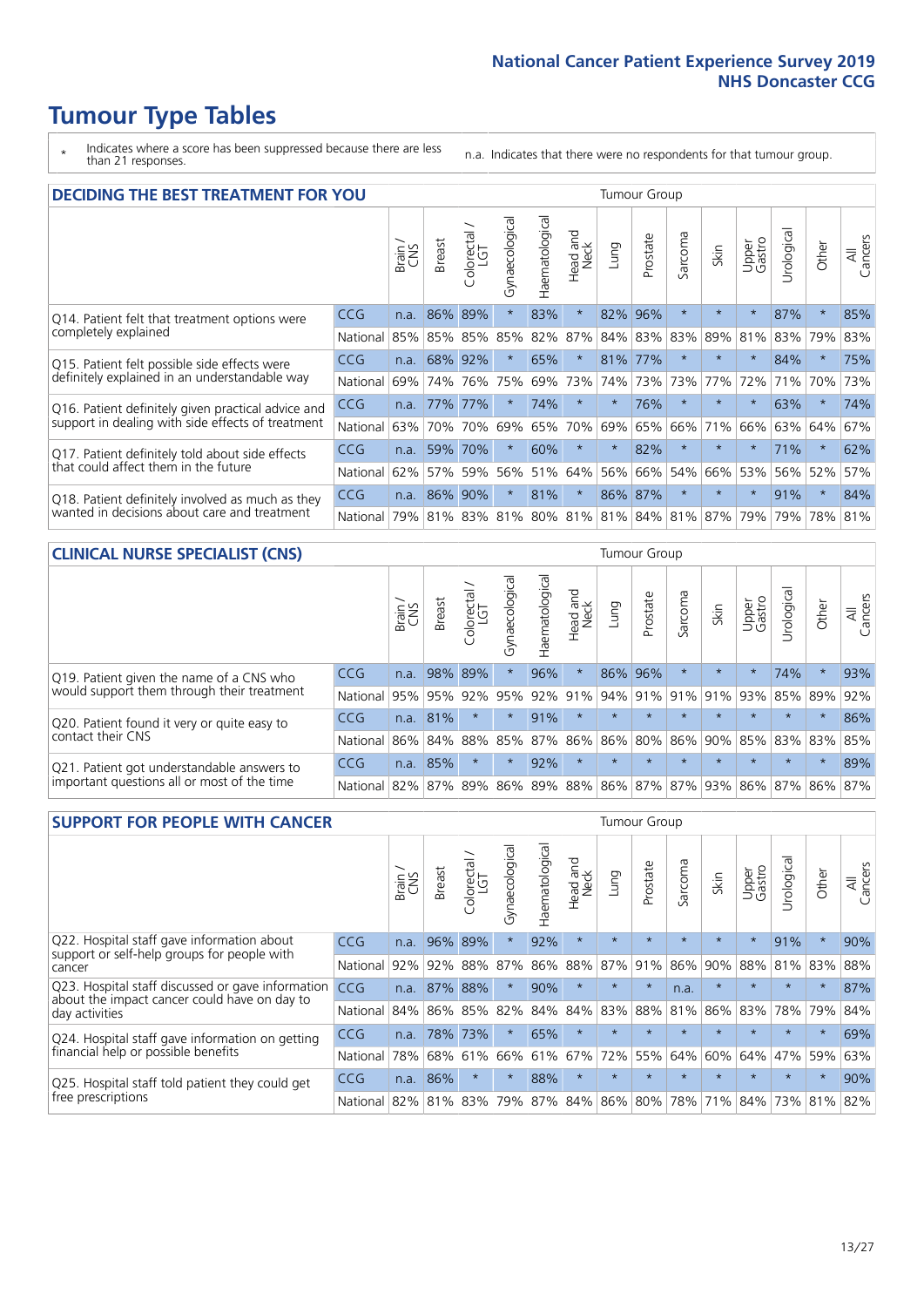# **Tumour Type Tables**

- \* Indicates where a score has been suppressed because there are less than 21 responses.
- n.a. Indicates that there were no respondents for that tumour group.

| <b>DECIDING THE BEST TREATMENT FOR YOU</b>         |          |       |               |                             |                |                |                         |         | <b>Tumour Group</b> |              |                                         |                 |           |             |                |
|----------------------------------------------------|----------|-------|---------------|-----------------------------|----------------|----------------|-------------------------|---------|---------------------|--------------|-----------------------------------------|-----------------|-----------|-------------|----------------|
|                                                    |          | Brain | <b>Breast</b> | olorectal.<br>LGT<br>$\cup$ | Gynaecological | Haematological | ead and<br>Neck<br>Head | Lung    | Prostate            | arcoma<br>ιñ | Skin                                    | Upper<br>Gastro | Jrologica | Other       | All<br>Cancers |
| Q14. Patient felt that treatment options were      | CCG      | n.a.  | 86%           | 89%                         | $\star$        | 83%            | $\star$                 | 82%     | 96%                 | $\star$      |                                         | $^\star$        | 87%       | $\star$     | 85%            |
| completely explained                               | National | 85%   |               | 85% 85%                     | 85%            | 82%            | 87%                     |         | 84% 83%             | 83%          | 89%                                     | 81%             | 83%       | 79%         | 83%            |
| Q15. Patient felt possible side effects were       | CCG      | n.a.  | 68%           | 92%                         | $\star$        | 65%            | $\star$                 | 81%     | 177%                | 大            |                                         | $\star$         | 84%       | $\star$     | 75%            |
| definitely explained in an understandable way      | National | 69%   | 74%           | 76%                         | 75%            | 69%            | 73%                     | 74%     | 73%                 | 73%          | 77%                                     | 72%             | 71%       | 70%         | 73%            |
| Q16. Patient definitely given practical advice and | CCG      | n.a.  | 77%           | 77%                         | $\star$        | 74%            | $\star$                 | $\star$ | 76%                 | $\star$      | $\star$                                 | $\star$         | 63%       | $\star$     | 74%            |
| support in dealing with side effects of treatment  | National | 63%   | 70%           | 70%                         | 69%            | 65%            | 70%                     | 69%     | 65%                 | 66%          | 71%                                     | 66%             | 63%       | 64%         | 67%            |
| Q17. Patient definitely told about side effects    | CCG      | n.a.  | 59%           | 70%                         | $\star$        | 60%            | $\star$                 | $\star$ | 82%                 | $\star$      | $\star$                                 | $\star$         | 71%       | $\star$     | 62%            |
| that could affect them in the future               | National | 62%   | 57%           | 59%                         | 56%            | 51%            | 64%                     | 56%     | 66%                 | 54%          | 66%                                     | 53%             | 56%       | 52%         | 57%            |
| Q18. Patient definitely involved as much as they   | CCG      | n.a.  | 86%           | 90%                         | $\star$        | 81%            | $\star$                 | 86%     | 87%                 | $\star$      | $\star$                                 | $\star$         | 91%       | $\star$     | 84%            |
| wanted in decisions about care and treatment       | National | 79%   |               |                             |                |                |                         |         |                     |              | 81% 83% 81% 80% 81% 81% 84% 81% 87% 79% |                 |           | 79% 78% 81% |                |

#### **CLINICAL NURSE SPECIALIST (CNS)** Tumour Group

|                                             |            | Brain | Breast | Colorectal<br>LGT | ᢛ<br>Gynaecologic | Haematological  | Head and<br>Neck | Lung          | Prostate | Sarcoma | Skin                        | Upper<br>Gastro | $\sigma$<br>Irologica | Other   | All<br>Cancers |
|---------------------------------------------|------------|-------|--------|-------------------|-------------------|-----------------|------------------|---------------|----------|---------|-----------------------------|-----------------|-----------------------|---------|----------------|
| Q19. Patient given the name of a CNS who    | <b>CCG</b> | n.a.  |        | 98% 89%           |                   | 96%             | $\star$          |               | 86% 96%  |         | $\star$                     |                 | 74%                   | $\star$ | 93%            |
| would support them through their treatment  | National   | 95%   | 95%    | 92%               | 95%               | 92%             | 91%              | $ 94\% 91\% $ |          | 91%     | 91%                         | 93%             | 85% 89%               |         | 92%            |
| Q20. Patient found it very or quite easy to | <b>CCG</b> | n.a.  | 81%    |                   |                   | 91%             | $\star$          | $\star$       | $\star$  | $\star$ | $\star$                     | $\star$         | $\star$               | $\star$ | 86%            |
| contact their CNS                           | National   | 86%   | 84%    | 88%               | 85%               | 87% 86% 86% 80% |                  |               |          | 86%     | 90%                         | 85%             |                       | 83% 83% | 85%            |
| Q21. Patient got understandable answers to  | CCG        | n.a.  | 85%    |                   | $\star$           | 92%             | $\star$          | $\star$       | $\star$  | $\star$ | $\star$                     | $\star$         | $\star$               | $\star$ | 89%            |
| important questions all or most of the time | National   | 82%   | 87%    | 89%               |                   |                 |                  |               |          |         | 86% 89% 88% 86% 87% 87% 93% |                 | 86% 87% 86% 87%       |         |                |

| <b>SUPPORT FOR PEOPLE WITH CANCER</b>                                                             |            |       |               |                 |                |                |                         |         | Tumour Group |              |         |                 |            |         |                |
|---------------------------------------------------------------------------------------------------|------------|-------|---------------|-----------------|----------------|----------------|-------------------------|---------|--------------|--------------|---------|-----------------|------------|---------|----------------|
|                                                                                                   |            | Brain | <b>Breast</b> | ╮<br>Colorectal | Gynaecological | Haematological | ead and<br>Neck<br>Head | Lung    | Prostate     | arcoma<br>ιñ | Skin    | Upper<br>Gastro | Jrological | Other   | All<br>Cancers |
| Q22. Hospital staff gave information about<br>support or self-help groups for people with         | CCG        | n.a.  | 96%           | 89%             | $\star$        | 92%            | $\star$                 | $\star$ | $\star$      | $\star$      | $\star$ | $\star$         | 91%        | $\star$ | 90%            |
| cancer                                                                                            | National   | 92%   | 92%           | 88%             | 87%            | 86%            | 88%                     | 87%     | 91%          | 86%          | 90%     | 88%             | 81%        | 83%     | 88%            |
| Q23. Hospital staff discussed or gave information<br>about the impact cancer could have on day to | <b>CCG</b> | n.a.  | 87%           | 88%             | $\star$        | 90%            | $\star$                 | $\star$ | $\star$      | n.a.         | $\star$ | $\star$         | $\star$    | $\star$ | 87%            |
| day activities                                                                                    | National   | 84%   |               | 86% 85%         | 82%            | 84%            | 84%                     | 83%     | 88%          | 81%          | 86%     | 83%             | 78%        | 79%     | 84%            |
| Q24. Hospital staff gave information on getting                                                   | <b>CCG</b> | n.a.  | 78%           | 73%             | $\star$        | 65%            | $\star$                 | $\star$ | $\star$      | $\star$      |         | $\star$         | $\star$    | $\ast$  | 69%            |
| financial help or possible benefits                                                               | National   | 78%   | 68%           | 61%             | 66%            |                | 61% 67%                 | 72%     | 55%          | 64%          | 60%     | 64%             | 47%        | 59%     | 63%            |
| Q25. Hospital staff told patient they could get                                                   | CCG        | n.a.  | 86%           | $\star$         | $\star$        | 88%            | $\star$                 | $\star$ | $\star$      | $\star$      |         | $\star$         | $\star$    | $\ast$  | 90%            |
| free prescriptions                                                                                | National   | 82%   | 81%           | 83%             | 79%            | 87%            | 84%                     | 86%     | 80%          | 78%          | 71%     | 84%             | 73%        | 81%     | 82%            |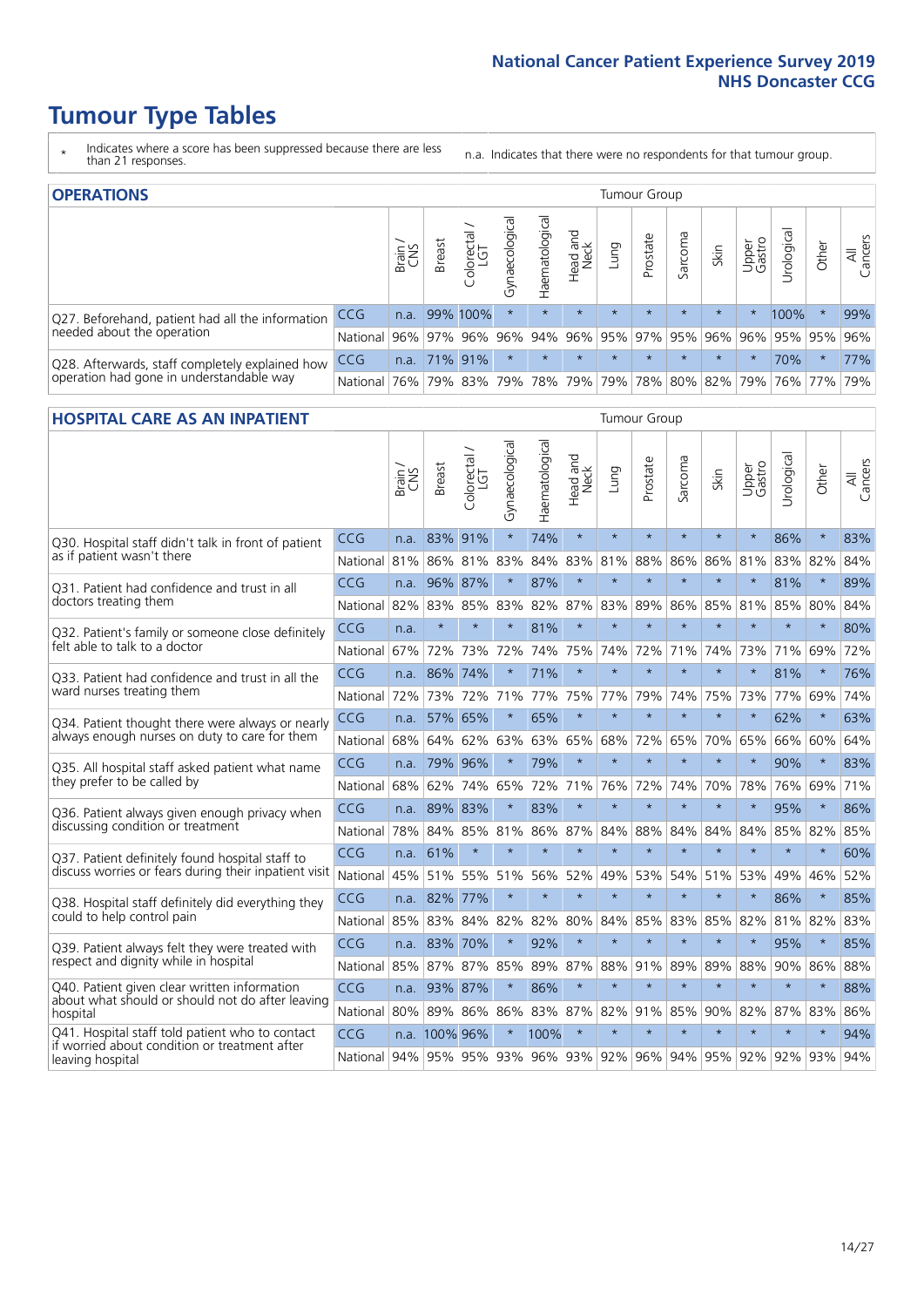# **Tumour Type Tables**

- \* Indicates where a score has been suppressed because there are less than 21 responses.
- n.a. Indicates that there were no respondents for that tumour group.

| <b>OPERATIONS</b>                                |            |       |               |            |                   |                |                                        |         | Tumour Group |         |         |                 |                                  |           |                |
|--------------------------------------------------|------------|-------|---------------|------------|-------------------|----------------|----------------------------------------|---------|--------------|---------|---------|-----------------|----------------------------------|-----------|----------------|
|                                                  |            | Brain | <b>Breast</b> | Colorectal | ক<br>Gynaecologic | Haematological | Head and<br>Neck                       | Lung    | Prostate     | Sarcoma | Skin    | Upper<br>Gastro | $\overline{\sigma}$<br>Irologica | Other     | All<br>Cancers |
| Q27. Beforehand, patient had all the information | <b>CCG</b> | n.a.  |               | 99% 100%   | $\star$           |                | $\star$                                | $\star$ | $\star$      | $\star$ | $\star$ |                 | 100%                             | $\ast$    | 99%            |
| needed about the operation                       | National   | 96%   |               | 97% 96%    | 96%               |                | 94%   96%   95%   97%   95%   96%      |         |              |         |         | $96\%$          |                                  | 95% 95%   | 96%            |
| Q28. Afterwards, staff completely explained how  | CCG        | n.a.  | $71\%$ 91\%   |            | $\star$           | $\star$        | $\star$                                | $\star$ | $\star$      | $\star$ | $\star$ | $\star$         | 70%                              | $\star$   | 77%            |
| operation had gone in understandable way         | National   | 76%   |               | 79% 83%    |                   |                | 79%  78%  79%  79%  78%  80%  82%  79% |         |              |         |         |                 |                                  | 76%   77% | 79%            |

#### **HOSPITAL CARE AS AN INPATIENT** Tumour Group

|                                                                                                                      |                                                                  | Brain | Breast        | Colorectal /<br>LGT | Gynaecological | Haematological | Head and<br>Neck | Lung        | Prostate | Sarcoma | Skin    | Upper<br>Gastro | Urological | Other   | All<br>Cancers |
|----------------------------------------------------------------------------------------------------------------------|------------------------------------------------------------------|-------|---------------|---------------------|----------------|----------------|------------------|-------------|----------|---------|---------|-----------------|------------|---------|----------------|
| Q30. Hospital staff didn't talk in front of patient                                                                  | CCG                                                              | n.a.  | 83%           | 91%                 | $\star$        | 74%            | $\star$          | $\star$     | $\star$  | $\star$ | $\star$ | $\star$         | 86%        | $\star$ | 83%            |
| as if patient wasn't there                                                                                           | National                                                         | 81%   |               | 86% 81%             | 83%            |                | 84% 83% 81%      |             | 88%      | 86%     |         | 86% 81%         | 83% 82%    |         | 84%            |
| 031. Patient had confidence and trust in all                                                                         | CCG                                                              | n.a.  | 96% 87%       |                     | $\star$        | 87%            | $\star$          | $\star$     | $\star$  | $\star$ | $\star$ | $\star$         | 81%        | $\star$ | 89%            |
| doctors treating them                                                                                                | National                                                         | 82%   | 83%           | 85%                 | 83%            | 82%            | 87%              | 83%         | 89%      | 86%     | 85%     | 81%             | 85%        | 80%     | 84%            |
| Q32. Patient's family or someone close definitely                                                                    | CCG                                                              | n.a.  | $\star$       | $\star$             | $\star$        | 81%            | $\star$          | $\star$     | $\star$  | $\star$ | $\star$ | $\star$         | $\star$    | $\star$ | 80%            |
| felt able to talk to a doctor                                                                                        | National                                                         | 67%   | 72%           | 73%                 | 72%            | 74%            |                  | 75% 74%     | 72%      | 71%     | 74%     | 73%             | 71%        | 69%     | 72%            |
| Q33. Patient had confidence and trust in all the<br>ward nurses treating them                                        | CCG                                                              | n.a.  | 86%           | 74%                 |                | 71%            | $\star$          | $\star$     | $\star$  | $\star$ | $\star$ | $\star$         | 81%        | $\star$ | 76%            |
|                                                                                                                      | National                                                         | 72%   | 73%           | 72%                 | 71%            | 77%            |                  | 75% 77%     | 79%      | 74%     | 75%     | 73%             | 77%        | 69%     | 74%            |
| Q34. Patient thought there were always or nearly<br>always enough nurses on duty to care for them                    | CCG                                                              | n.a.  | 57%           | 65%                 | $\star$        | 65%            | $\star$          | $\star$     | $\star$  | $\star$ | $\star$ | $\star$         | 62%        | $\star$ | 63%            |
|                                                                                                                      | National                                                         | 68%   | 64%           | 62%                 | 63%            |                | 63% 65% 68%      |             | 72%      | 65%     |         | 70% 65%         |            | 66% 60% | 64%            |
| Q35. All hospital staff asked patient what name<br>they prefer to be called by                                       | CCG                                                              | n.a.  | 79% 96%       |                     | $\star$        | 79%            | $\star$          | $\star$     | $\star$  | $\star$ | $\star$ | $\star$         | 90%        | $\star$ | 83%            |
|                                                                                                                      | National                                                         | 68%   | 62%           | 74%                 | 65%            | 72%            | 71%              | 76%         | 72%      | 74%     | 70%     | 78%             | 76%        | 69%     | 71%            |
| Q36. Patient always given enough privacy when                                                                        | <b>CCG</b>                                                       | n.a.  | 89% 83%       |                     |                | 83%            | $\star$          | $\star$     | $\star$  | $\star$ | $\star$ | $\star$         | 95%        | $\star$ | 86%            |
| discussing condition or treatment                                                                                    | National                                                         | 78%   |               | 84% 85%             | 81%            |                | 86% 87% 84%      |             | 88%      | 84%     | 84%     | 84%             | 85%        | 82%     | 85%            |
| Q37. Patient definitely found hospital staff to                                                                      | <b>CCG</b>                                                       | n.a.  | 61%           | $\star$             | $\star$        | $\star$        | $\star$          | $\star$     | $\star$  | $\star$ | $\star$ | $\star$         | $\star$    | $\star$ | 60%            |
| discuss worries or fears during their inpatient visit                                                                | National                                                         | 45%   | 51%           | 55%                 | 51%            | 56%            | 52%              | 49%         | 53%      | 54%     | 51%     | 53%             | 49%        | 46%     | 52%            |
| Q38. Hospital staff definitely did everything they                                                                   | CCG                                                              |       | n.a. 82%      | 77%                 | $\star$        | $\star$        | $\star$          | $\star$     | $\star$  | $\star$ | $\star$ | $\star$         | 86%        | $\star$ | 85%            |
| could to help control pain                                                                                           | National                                                         | 85%   | 83%           | 84%                 | 82%            |                |                  | 82% 80% 84% | 85%      | 83%     |         | 85% 82%         | 81% 82%    |         | 83%            |
| Q39. Patient always felt they were treated with                                                                      | CCG                                                              |       | n.a. 83%      | 70%                 | $\star$        | 92%            | $\star$          | $\star$     | $\star$  | $\star$ | $\star$ |                 | 95%        | $\star$ | 85%            |
| respect and dignity while in hospital                                                                                | National                                                         | 85%   | 87%           | 87%                 | 85%            | 89%            | 87%              | 88%         | 91%      | 89%     | 89%     | 88%             | 90%        | 86%     | 88%            |
| Q40. Patient given clear written information<br>about what should or should not do after leaving                     | <b>CCG</b>                                                       | n.a.  | 93% 87%       |                     |                | 86%            | $\star$          | $\star$     | $\star$  | $\star$ | $\star$ | $\star$         | $\star$    | $\star$ | 88%            |
| hospital                                                                                                             | National                                                         | 80%   | 89% 86%       |                     | 86%            | 83%            |                  | 87% 82%     | 91%      | 85%     | 90%     | 82%             | 87%        | 83%     | 86%            |
| Q41. Hospital staff told patient who to contact<br>if worried about condition or treatment after<br>leaving hospital | CCG                                                              |       | n.a. 100% 96% |                     |                | 100%           | $\star$          | $\star$     | $\star$  | $\star$ | $\star$ | $\star$         | $\star$    | $\star$ | 94%            |
|                                                                                                                      | National 94% 95% 95% 93% 96% 93% 92% 96% 94% 95% 92% 92% 93% 94% |       |               |                     |                |                |                  |             |          |         |         |                 |            |         |                |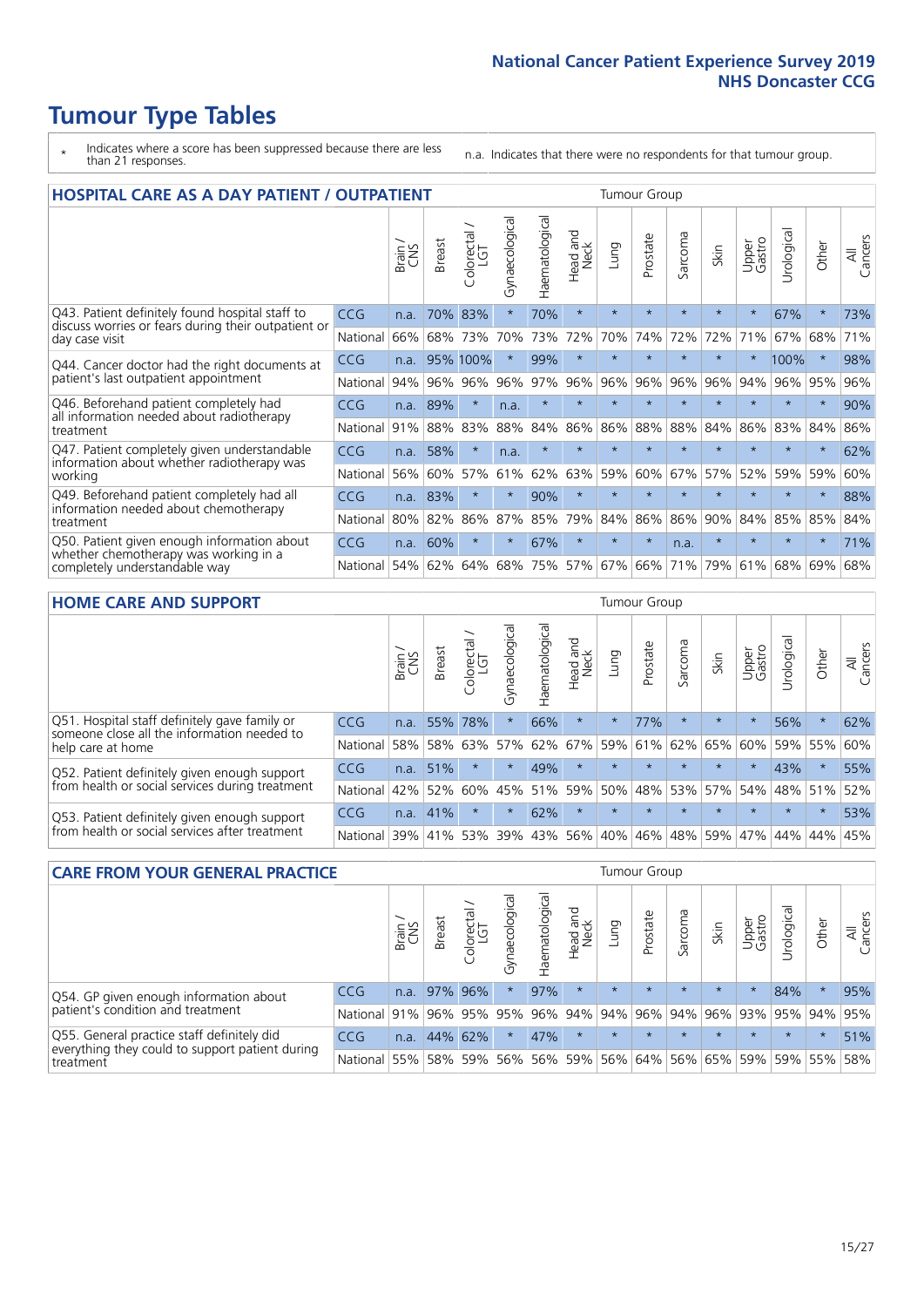# **Tumour Type Tables**

- \* Indicates where a score has been suppressed because there are less than 21 responses.
- n.a. Indicates that there were no respondents for that tumour group.

| <b>HOSPITAL CARE AS A DAY PATIENT / OUTPATIENT</b>                                                                    |            |       |               |            |                |                       |                                |         | <b>Tumour Group</b> |                      |         |                 |            |         |                |  |  |
|-----------------------------------------------------------------------------------------------------------------------|------------|-------|---------------|------------|----------------|-----------------------|--------------------------------|---------|---------------------|----------------------|---------|-----------------|------------|---------|----------------|--|--|
|                                                                                                                       |            | Brain | <b>Breast</b> | Colorectal | Gynaecological | <b>Haematological</b> | <b>Bad and</b><br>Neck<br>Head | Lung    | Prostate            | arcoma<br>$\sqrt{ }$ | Skin    | Upper<br>Gastro | Jrological | Other   | All<br>Cancers |  |  |
| Q43. Patient definitely found hospital staff to                                                                       | <b>CCG</b> | n.a.  | 70%           | 83%        | $\star$        | 70%                   | $\star$                        | $\star$ | $\star$             | $\star$              | $\star$ | $\star$         | 67%        | $\star$ | 73%            |  |  |
| discuss worries or fears during their outpatient or<br>day case visit                                                 | National   | 66%   | 68%           | 73%        | 70%            | 73%                   | 72%                            | 70%     | 74%                 | 72%                  | 72%     | 71%             | 67%        | 68%     | 71%            |  |  |
| Q44. Cancer doctor had the right documents at<br>patient's last outpatient appointment                                | CCG        | n.a.  | 95%           | 100%       | $\star$        | 99%                   | $\star$                        | $\star$ | $\star$             | $\star$              | $\star$ | $\star$         | 100%       | $\star$ | 98%            |  |  |
|                                                                                                                       | National   | 94%   | 96%           | 96%        | 96%            | 97%                   | 96%                            | 96%     | 96%                 | 96%                  | 96%     | 94%             | 96%        | 95%     | 96%            |  |  |
| Q46. Beforehand patient completely had                                                                                | <b>CCG</b> | n.a.  | 89%           | $\star$    | n.a.           | $\star$               | $\star$                        | $\star$ | $\star$             | $\overline{A}$       |         | $\star$         | $\star$    | $\star$ | 90%            |  |  |
| all information needed about radiotherapy<br>treatment                                                                | National   | 91%   | 88%           | 83%        | 88%            | 84%                   | 86%                            | 86%     | 88%                 | 88%                  | 84%     | 86%             | 83%        | 84%     | 86%            |  |  |
| Q47. Patient completely given understandable                                                                          | <b>CCG</b> | n.a.  | 58%           | $\star$    | n.a.           | $\star$               | $\star$                        | $\star$ | $\star$             | $\star$              | $\star$ | $\star$         | $\star$    | $\star$ | 62%            |  |  |
| information about whether radiotherapy was<br>working                                                                 | National   | 56%   | 60%           | 57%        | 61%            | 62%                   | 63%                            | 59%     | 60%                 | 67%                  | 57%     | 52%             | 59%        | 59%     | 60%            |  |  |
| Q49. Beforehand patient completely had all                                                                            | <b>CCG</b> | n.a.  | 83%           | $\star$    | $\star$        | 90%                   | $\star$                        | $\star$ | $\star$             | $\star$              |         | $\star$         | $\star$    | $\star$ | 88%            |  |  |
| information needed about chemotherapy<br>treatment                                                                    | National   | 80%   | 82%           | 86%        | 87%            | 85%                   | 79%                            | 84%     | 86%                 | 86%                  | 90%     | 84%             | 85%        | 85%     | 84%            |  |  |
| Q50. Patient given enough information about<br>whether chemotherapy was working in a<br>completely understandable way | <b>CCG</b> | n.a.  | 60%           | $\star$    | $\star$        | 67%                   | $\star$                        | $\star$ | $\star$             | n.a.                 | $\star$ | $\star$         | $\star$    | $\star$ | 71%            |  |  |
|                                                                                                                       | National   | 54%   | 62%           | 64%        | 68%            | 75%                   |                                | 57% 67% | 66%                 | 71%                  | 79%     | 61%             | 68%        | 69%     | 68%            |  |  |

### **HOME CARE AND SUPPORT** Tumour Group

|                                                                                                                   |            | Brain | Breast  | Colorectal<br>LGT | $\sigma$<br>Gynaecologic | Haematological | Head and<br>Neck | <b>Dung</b> | Prostate | Sarcoma | Skin    | Upper<br>Gastro | rological   | Other   | All<br>Cancers |
|-------------------------------------------------------------------------------------------------------------------|------------|-------|---------|-------------------|--------------------------|----------------|------------------|-------------|----------|---------|---------|-----------------|-------------|---------|----------------|
| Q51. Hospital staff definitely gave family or<br>someone close all the information needed to<br>help care at home | <b>CCG</b> | n.a.  | 55%     | 78%               |                          | 66%            | $\ast$           | $\star$     | 77%      |         | $\star$ | $\star$         | 56%         | $\star$ | 62%            |
|                                                                                                                   | National   | 58%   | 58%     | 63%               | 57%                      | 62%            |                  | 67% 59% 61% |          |         | 62% 65% | 60%             | 59% 55%     |         | 60%            |
| Q52. Patient definitely given enough support<br>from health or social services during treatment                   | <b>CCG</b> | n.a.  | 51%     |                   | $\star$                  | 49%            | $\star$          | $\star$     | $\star$  |         | $\star$ | $\star$         | 43%         | $\star$ | 55%            |
|                                                                                                                   | National   | 42%   | 52%     | 60%               |                          | 45% 51%        | 59%              | 50%         | 48%      |         | 53% 57% |                 | 54% 48% 51% |         | 52%            |
| Q53. Patient definitely given enough support<br>from health or social services after treatment                    | <b>CCG</b> | n.a.  | 41%     |                   |                          | 62%            | $\star$          | $\star$     | $\star$  |         | $\star$ | $\star$         | $\star$     | $\star$ | 53%            |
|                                                                                                                   | National l | 39%   | 41% 53% |                   | 39%                      | 43%            | 56%              | 40%         | 46%      | 48%     | 59%     | 47%             | 44%         | 44%     | 45%            |

| <b>CARE FROM YOUR GENERAL PRACTICE</b>                                                                     |                      |        |               |                        |               |                                     | Tumour Group     |         |          |         |                                                           |                 |                |         |                |  |
|------------------------------------------------------------------------------------------------------------|----------------------|--------|---------------|------------------------|---------------|-------------------------------------|------------------|---------|----------|---------|-----------------------------------------------------------|-----------------|----------------|---------|----------------|--|
|                                                                                                            |                      | Brain, | <b>Breast</b> | ー<br>Colorectal<br>LGT | Gynaecologica | $\overline{\sigma}$<br>Haematologic | Head and<br>Neck | Lung    | Prostate | Sarcoma | Skin                                                      | Upper<br>Gastro | Φ<br>Urologica | Other   | All<br>Cancers |  |
| Q54. GP given enough information about<br>patient's condition and treatment                                | CCG                  | n.a.   |               | 97% 96%                | $\star$       | 97%                                 | $\star$          | $\star$ | $\star$  | $\star$ | $\star$                                                   | $\star$         | 84%            | $\ast$  | 95%            |  |
|                                                                                                            | National 91% 96% 95% |        |               |                        | 95%           |                                     |                  |         |          |         | 96% 94% 94% 96% 94% 96% 93% 95% 94%                       |                 |                |         | 95%            |  |
| Q55. General practice staff definitely did<br>everything they could to support patient during<br>treatment | CCG                  | n.a.   |               | 44% 62%                | $\star$       | 47%                                 | $\star$          | $\star$ | $\star$  | $\star$ | $\star$                                                   | $\star$         | $\star$        | $\star$ | 51%            |  |
|                                                                                                            | National 55%         |        |               | 58% 59%                |               |                                     |                  |         |          |         | 56%   56%   59%   56%   64%   56%   65%   59%   59%   55% |                 |                |         | 58%            |  |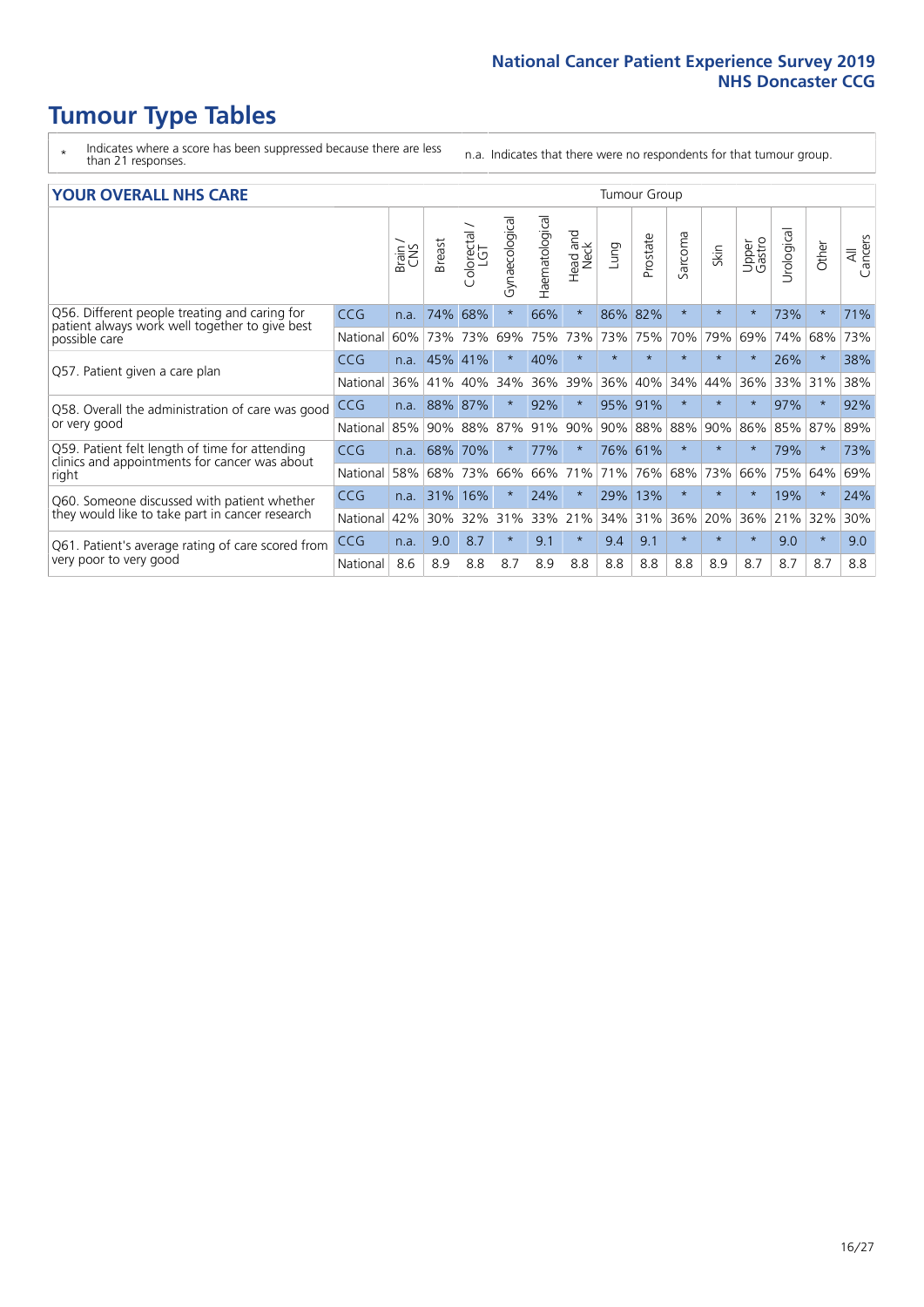# **Tumour Type Tables**

- \* Indicates where a score has been suppressed because there are less than 21 responses.
- n.a. Indicates that there were no respondents for that tumour group.

#### **YOUR OVERALL NHS CARE** THE TWO CONTROLLER THE THE THROUP CHANGE THE TUMOUR GROUP

| <u>UUN UTENTEE ITIIJ GANE</u>                                                                   |            |              |               |                       |                |                |                                 |         |          |                      |         |                 |                            |          |                |
|-------------------------------------------------------------------------------------------------|------------|--------------|---------------|-----------------------|----------------|----------------|---------------------------------|---------|----------|----------------------|---------|-----------------|----------------------------|----------|----------------|
|                                                                                                 |            | Brain<br>CNS | <b>Breast</b> | olorectal<br>LGT<br>Ū | Gynaecological | Haematological | <b>Bad and<br/>Neck</b><br>Head | Lung    | Prostate | arcoma<br>$\sqrt{ }$ | Skin    | Upper<br>Gastro | $\overline{c}$<br>Urologia | Other    | All<br>Cancers |
| Q56. Different people treating and caring for                                                   | <b>CCG</b> | n.a.         | 74%           | 68%                   | $\star$        | 66%            | $\star$                         | 86%     | 82%      | $\star$              | $\star$ |                 | 73%                        | $\ast$   | 71%            |
| patient always work well together to give best<br>possible care                                 | National   | 60%          |               | 73% 73%               | 69%            | 75%            | 73%                             | 73%     | 75%      | 70%                  | 79%     | 69%             | 74%                        | 68%      | 73%            |
| Q57. Patient given a care plan                                                                  | CCG        | n.a.         | 45%           | 41%                   |                | 40%            | $\star$                         | $\star$ | $\star$  | $\star$              | $\star$ | $\star$         | 26%                        | $\ast$   | 38%            |
|                                                                                                 | National   | 36%          | 41%           | 40%                   | 34%            | 36%            | 39%                             | 36%     | 40%      | 34%                  | 44%     | 36%             | 33%                        | 31%      | 38%            |
| Q58. Overall the administration of care was good                                                | <b>CCG</b> | n.a.         | 88%           | 87%                   |                | 92%            | $\star$                         | 95%     | 91%      | $\star$              | $\star$ |                 | 97%                        | $^\star$ | 92%            |
| or very good                                                                                    | National   | 85%          | $90\%$        | 88%                   | 87%            | 91%            | 90%                             | 90%     | 88%      | 88%                  | 90%     | 86%             | 85%                        | 87%      | 89%            |
| Q59. Patient felt length of time for attending<br>clinics and appointments for cancer was about | <b>CCG</b> | n.a.         | 68%           | 70%                   |                | 77%            | $\star$                         | 76% 61% |          | $\star$              | $\ast$  | $\star$         | 79%                        | $^\star$ | 73%            |
| right                                                                                           | National   | 58%          | 68%           | 73%                   | 66%            | 66%            | 71%                             | 71%     | 76%      | 68%                  | 73%     | 66%             | 75%                        | 64%      | 69%            |
| Q60. Someone discussed with patient whether                                                     | <b>CCG</b> | n.a.         | 31%           | 16%                   |                | 24%            | $\star$                         | 29%     | 13%      | $\star$              | $\star$ |                 | 19%                        | $\star$  | 24%            |
| they would like to take part in cancer research                                                 | National   | 42%          | 30%           | 32%                   | 31%            | 33%            | 21%                             | 34%     | 31%      | 36%                  | 20%     | 36%             | 21%                        | 32%      | 30%            |
| Q61. Patient's average rating of care scored from<br>very poor to very good                     | CCG        | n.a.         | 9.0           | 8.7                   | $\star$        | 9.1            | $\star$                         | 9.4     | 9.1      | $\star$              | $\star$ | $\star$         | 9.0                        | $^\star$ | 9.0            |
|                                                                                                 | National   | 8.6          | 8.9           | 8.8                   | 8.7            | 8.9            | 8.8                             | 8.8     | 8.8      | 8.8                  | 8.9     | 8.7             | 8.7                        | 8.7      | 8.8            |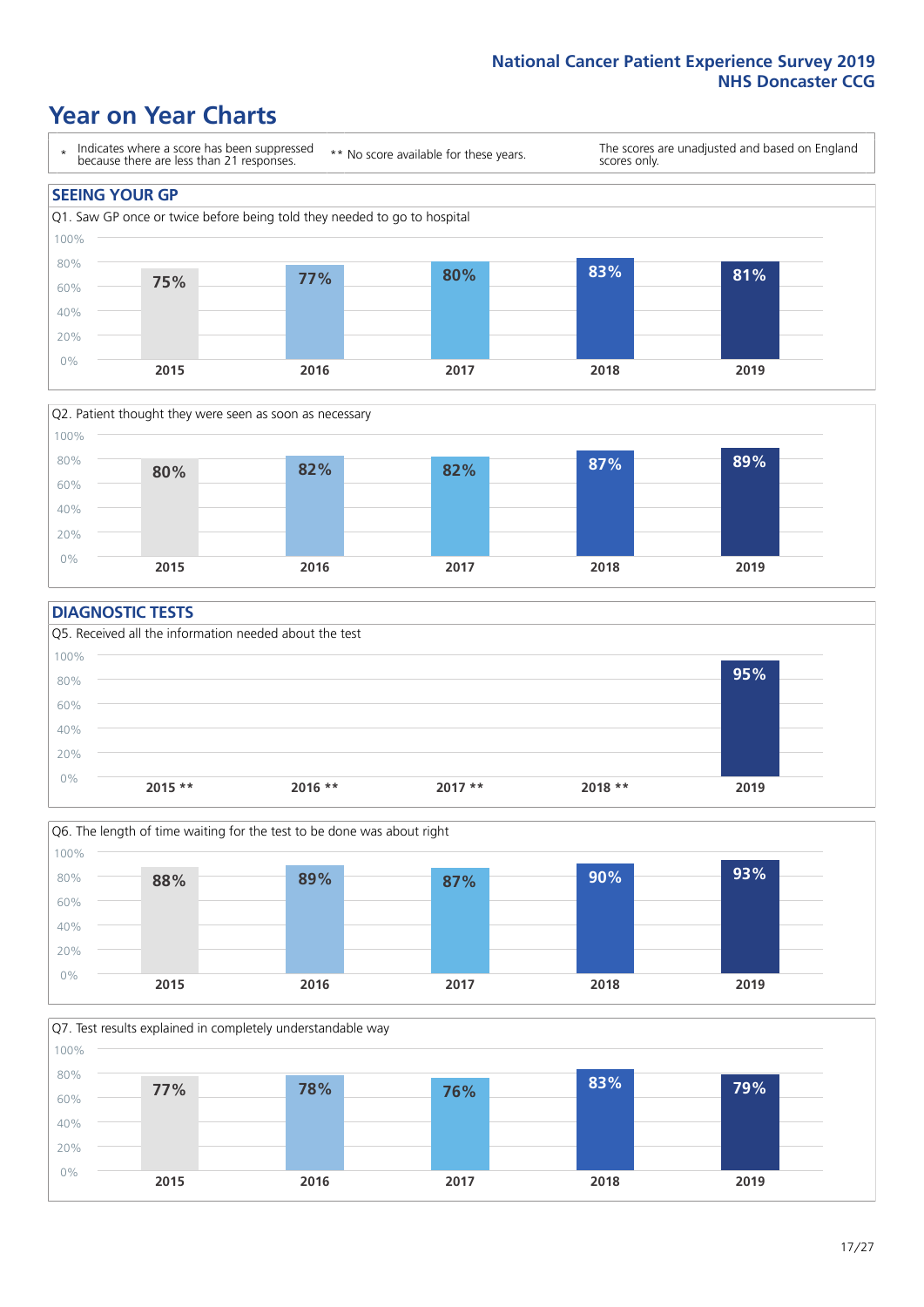### **Year on Year Charts**





#### **DIAGNOSTIC TESTS**





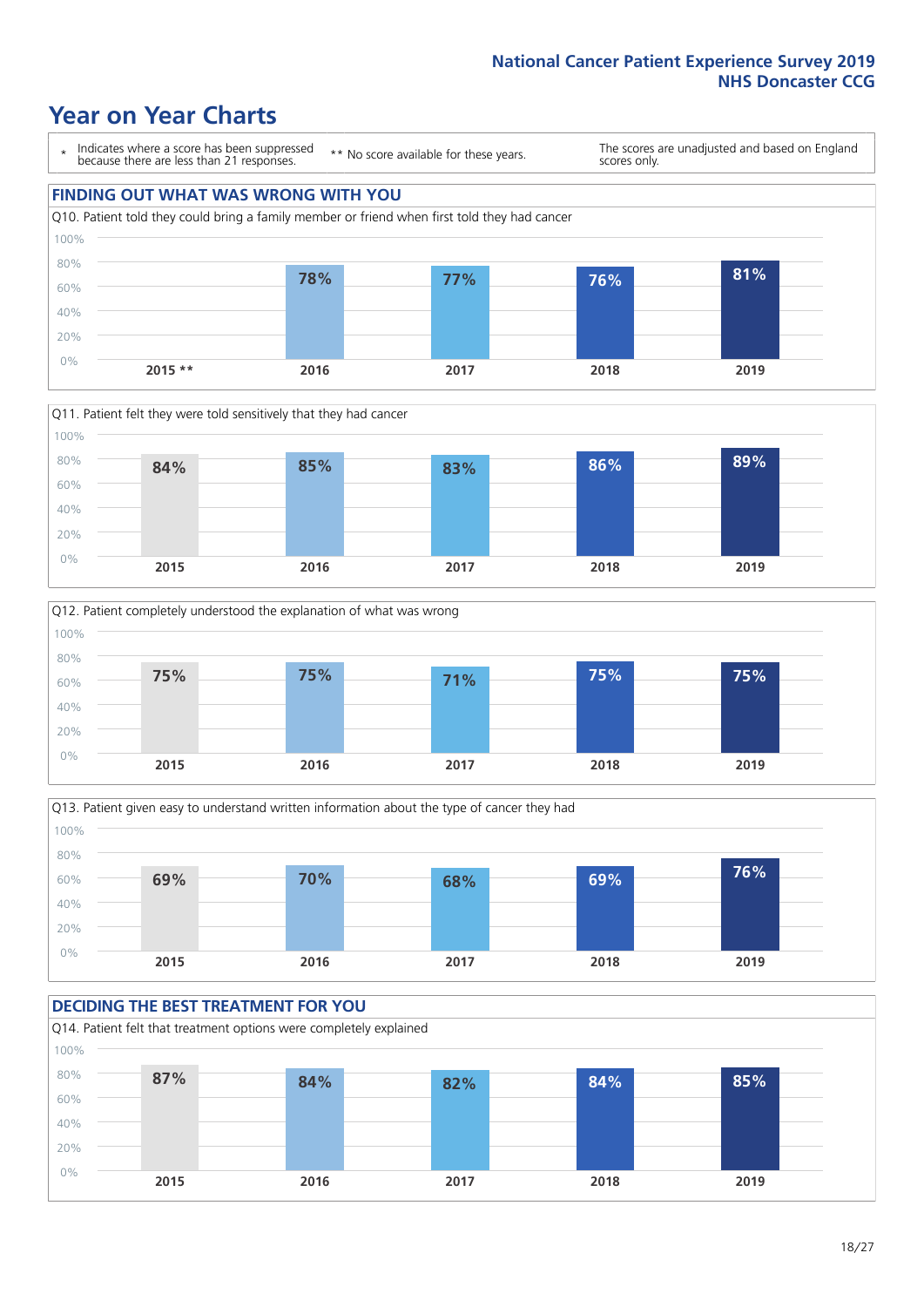### **Year on Year Charts**





**2015 \*\* 2016 2017 2018 2019**





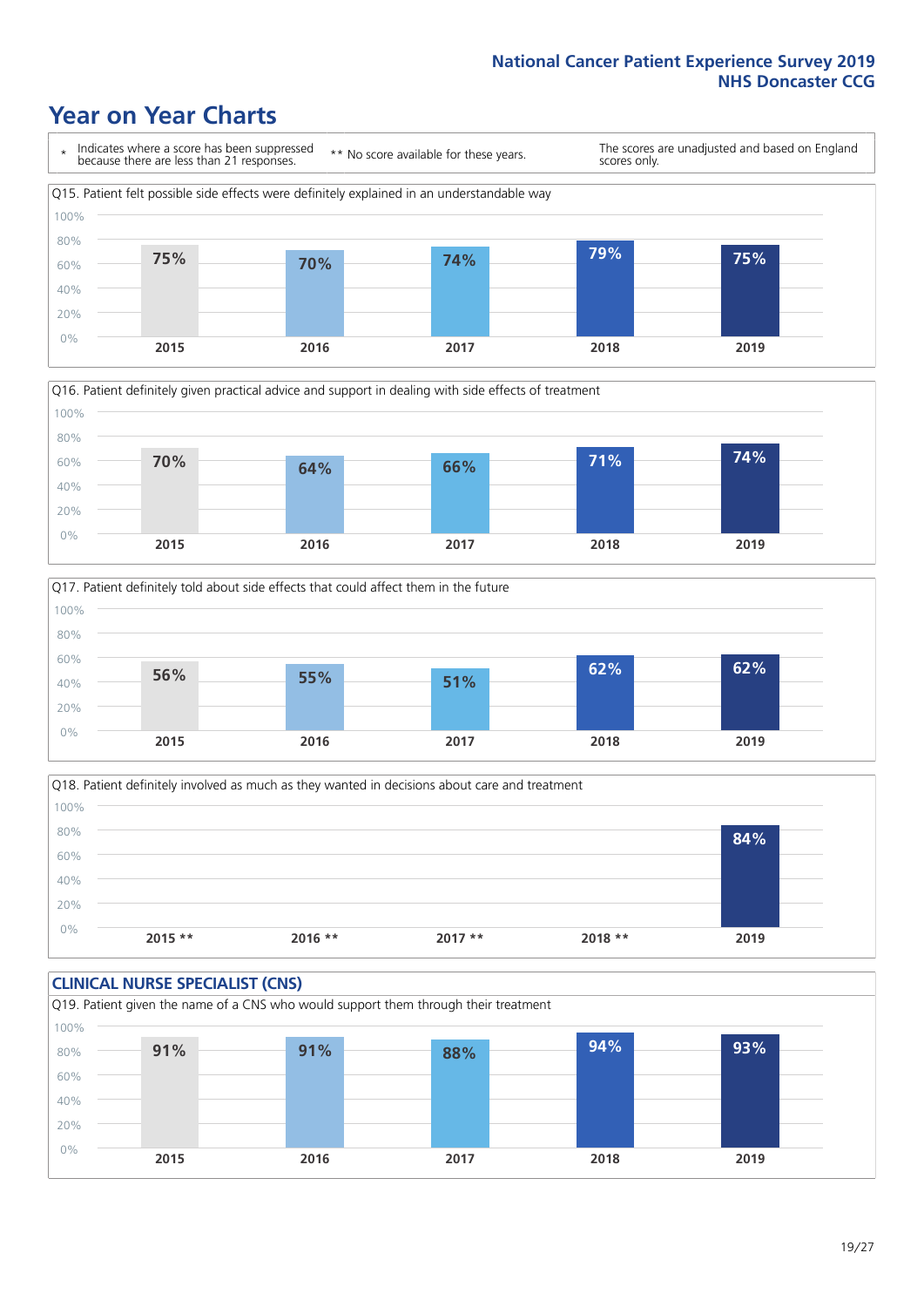## **Year on Year Charts**







Q18. Patient definitely involved as much as they wanted in decisions about care and treatment  $0%$ 20% 40% 60% 80% 100% **2015 \*\* 2016 \*\* 2017 \*\* 2018 \*\* 2019 84%**

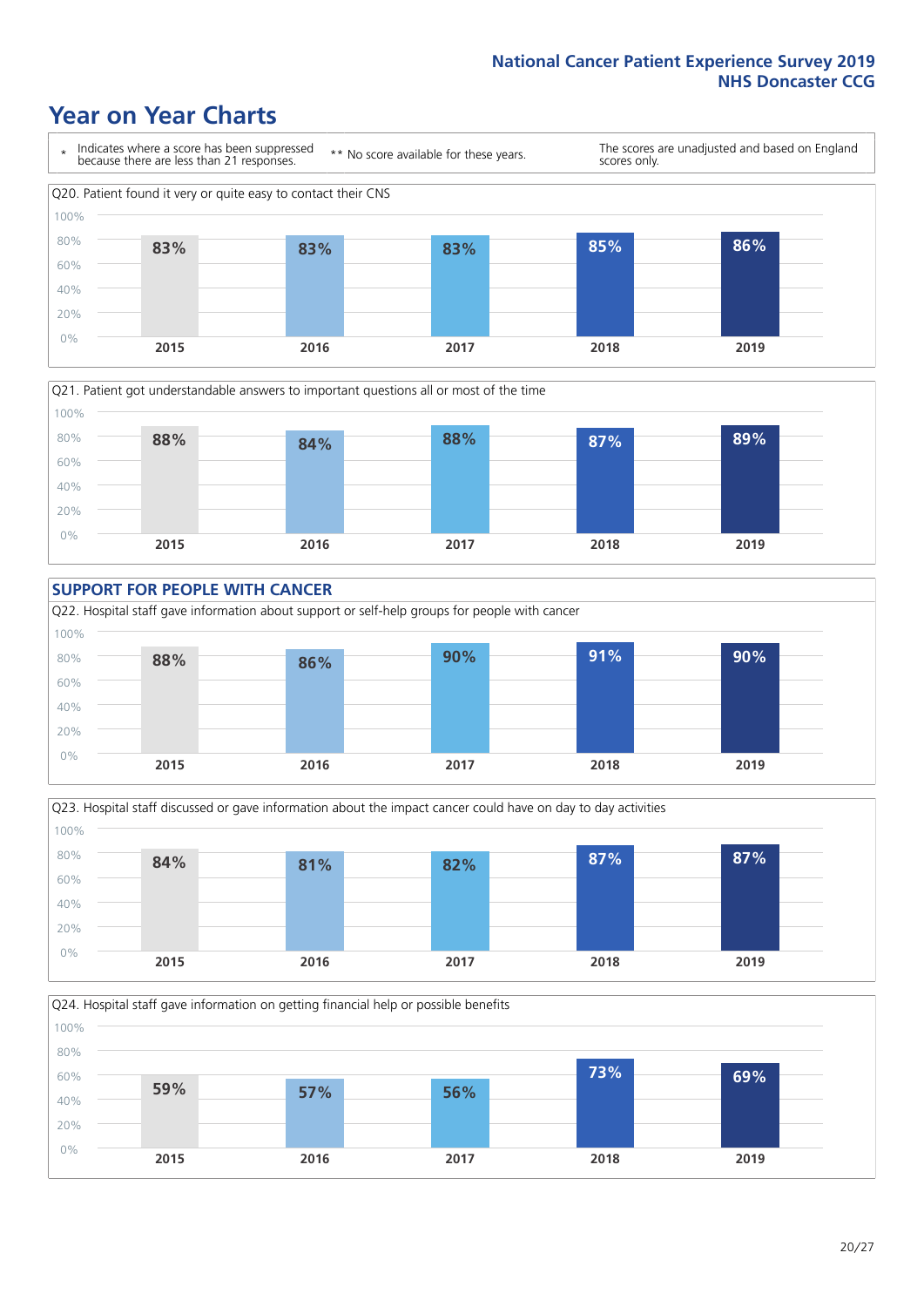### **Year on Year Charts**











 $20/27$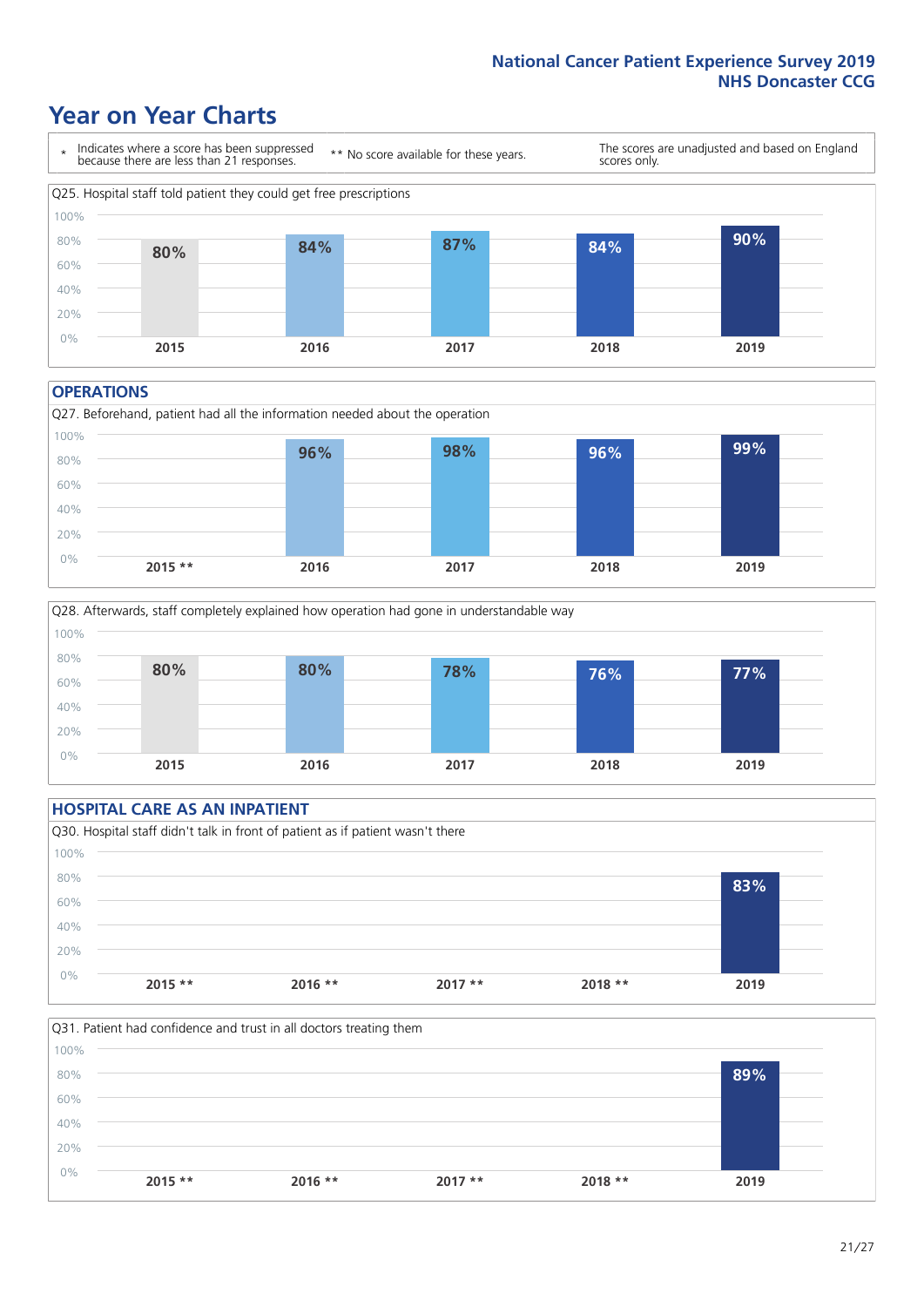### **Year on Year Charts**



#### **OPERATIONS**





### **HOSPITAL CARE AS AN INPATIENT** Q30. Hospital staff didn't talk in front of patient as if patient wasn't there 0% 20% 40% 60% 80% 100% **2015 \*\* 2016 \*\* 2017 \*\* 2018 \*\* 2019 83%**

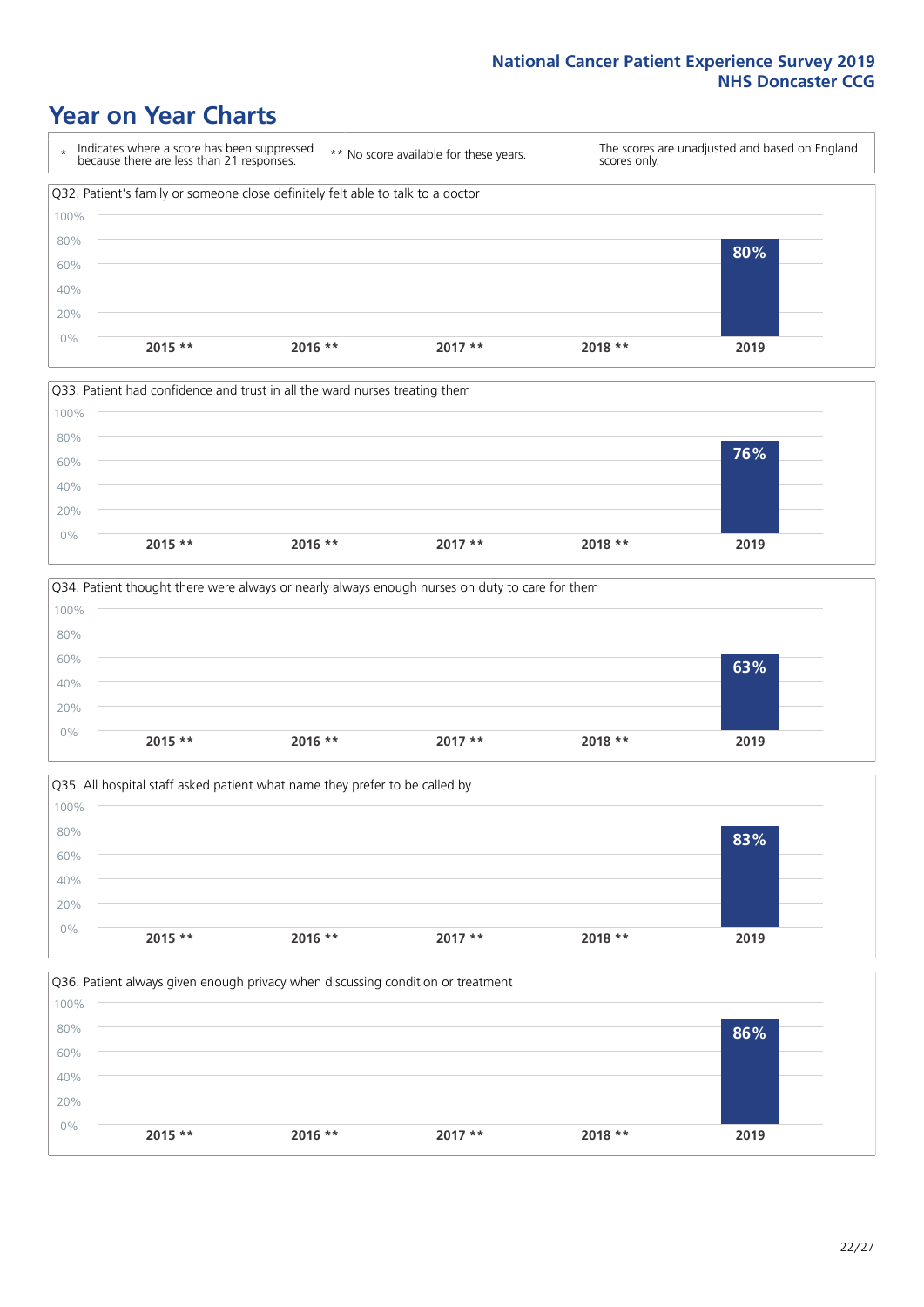### **Year on Year Charts**









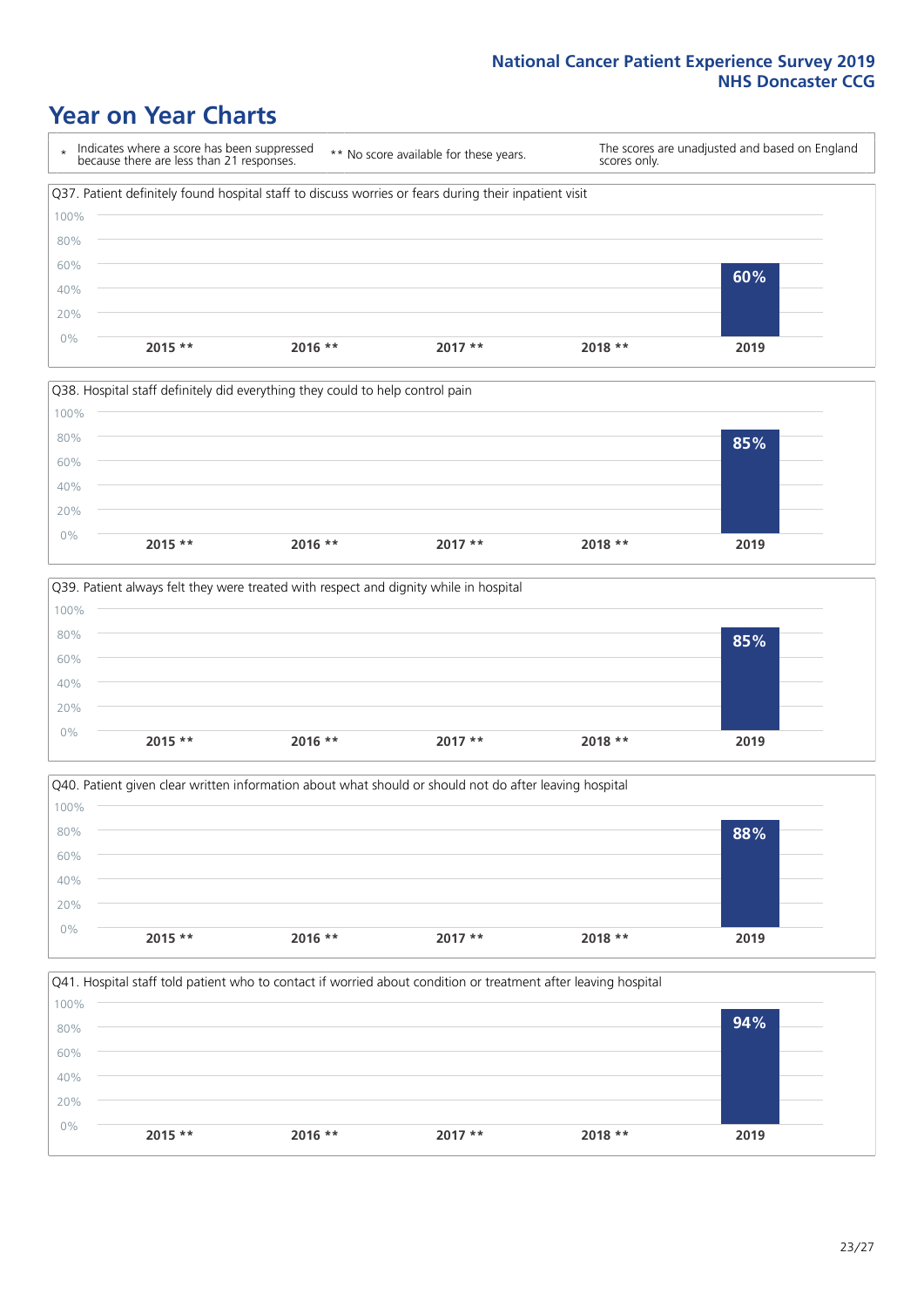### **Year on Year Charts**

\* Indicates where a score has been suppressed because there are less than 21 responses. \*\* No score available for these years. The scores are unadjusted and based on England scores only. Q37. Patient definitely found hospital staff to discuss worries or fears during their inpatient visit 0% 20% 40% 60% 80% 100% **2015 \*\* 2016 \*\* 2017 \*\* 2018 \*\* 2019 60%**







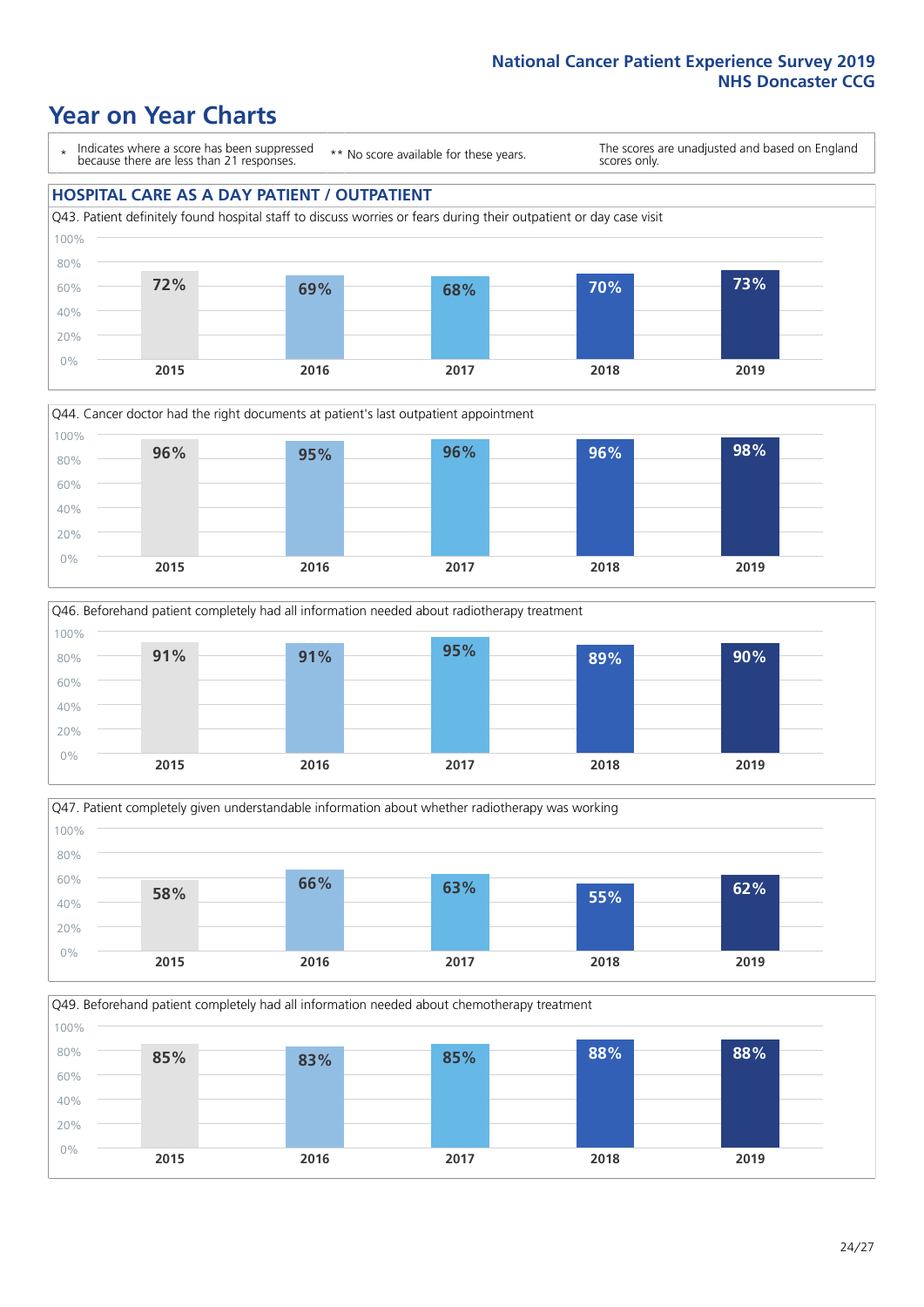### **Year on Year Charts**

\* Indicates where a score has been suppressed because there are less than 21 responses.

\*\* No score available for these years.

The scores are unadjusted and based on England scores only.

#### **HOSPITAL CARE AS A DAY PATIENT / OUTPATIENT**









Q49. Beforehand patient completely had all information needed about chemotherapy treatment

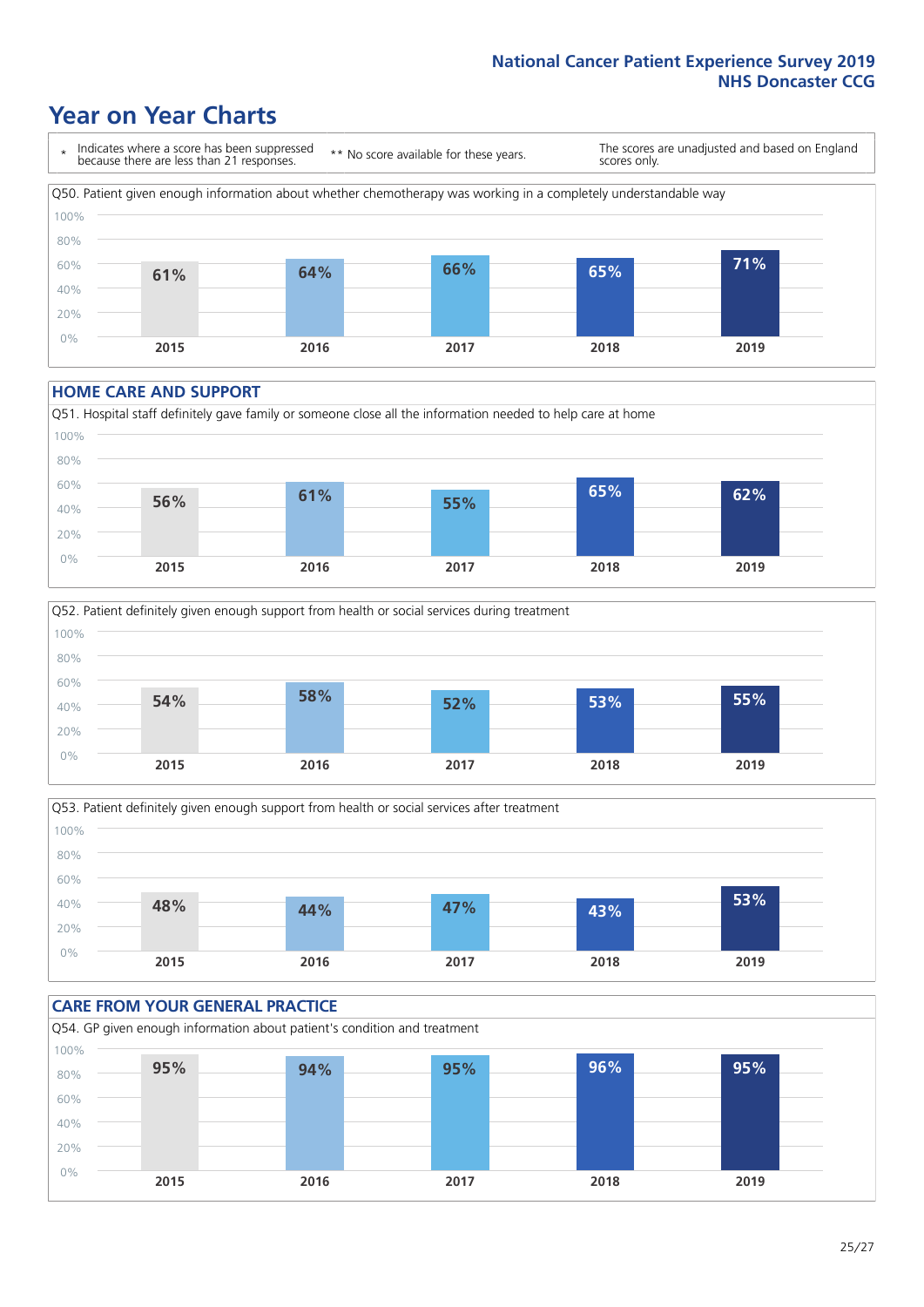### **Year on Year Charts**

\* Indicates where a score has been suppressed because there are less than 21 responses. \*\* No score available for these years. The scores are unadjusted and based on England scores only. Q50. Patient given enough information about whether chemotherapy was working in a completely understandable way 0% 20% 40% 60% 80% 100% **2015 2016 2017 2018 2019 61% 64% 66% 65% 71%**

#### **HOME CARE AND SUPPORT**







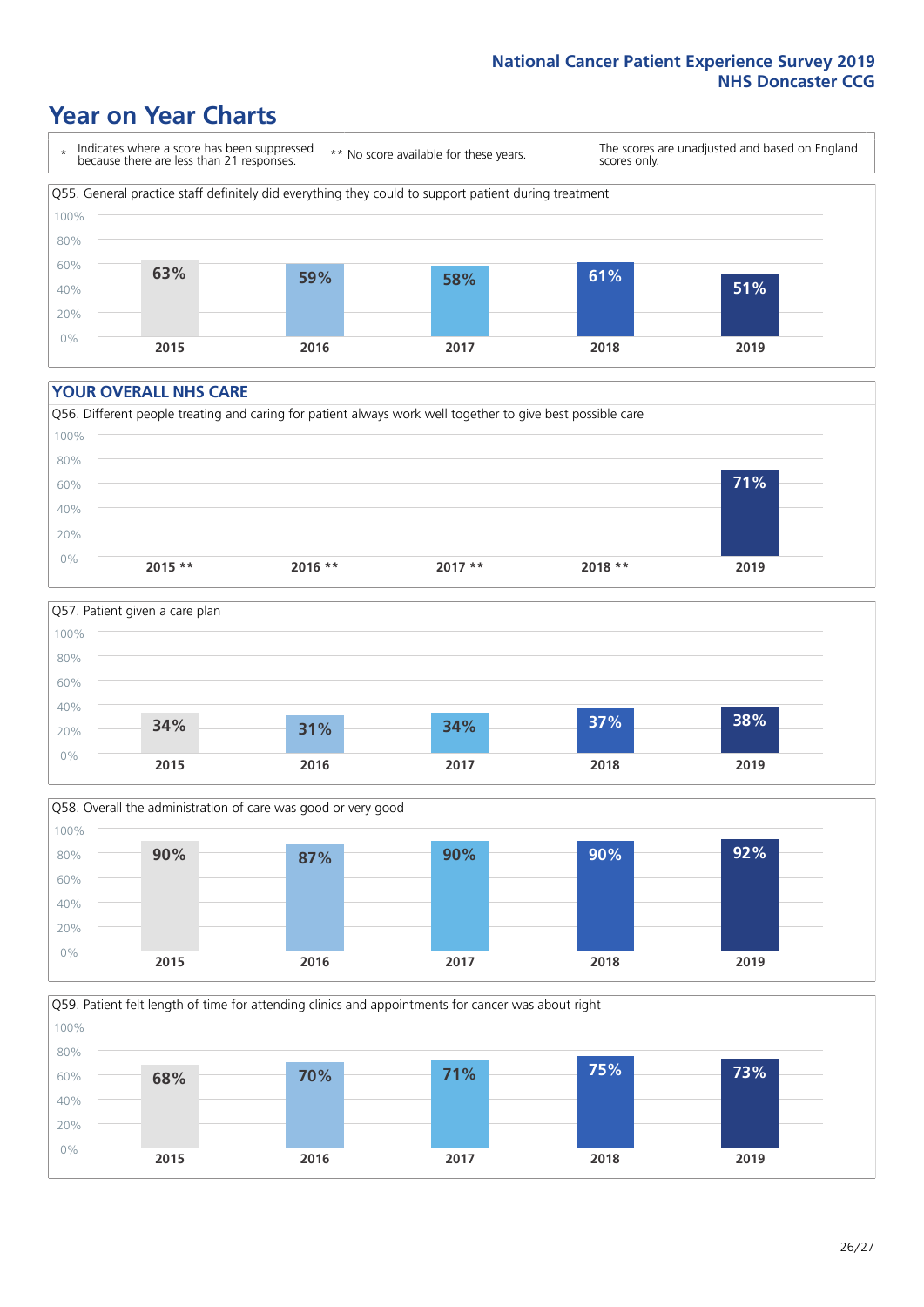### **Year on Year Charts**

\* Indicates where a score has been suppressed because there are less than 21 responses.

\*\* No score available for these years.

The scores are unadjusted and based on England scores only.



#### **YOUR OVERALL NHS CARE**







Q59. Patient felt length of time for attending clinics and appointments for cancer was about right 100%